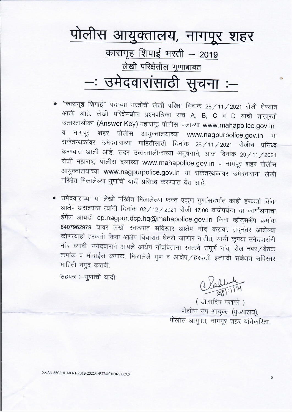

- "कारागृह शिपाई" पदाच्या भरतीची लेखी परिक्षा दिनांक 28/11/2021 रोजी घेण्यात आली आहे. लेखी परिक्षेमधील प्रश्नपत्रिका संच A, B, C व D यांची तात्पुरती उत्तरतालीका (Answer Key) महाराष्ट्र पोलीस दलाच्या www.mahapolice.gov.in व नागपूर शहर पोलीस आयुक्तालयाच्या www.nagpurpolice.gov.in या संकेतस्थळांवर उमेदवाराच्या माहितीसाठी दिनांक २८/11/2021 रोजीच प्रसिध्द करण्यात आली आहे. सदर उत्तरतालीकांच्या अनुषंगाने, आज दिनांक 29/11/2021 रोजी महाराष्ट्र पोलीस दलाच्या www.mahapolice.gov.in व नागपूर शहर पोलीस आयुक्तालयाच्या www.nagpurpolice.gov.in या संकेतस्थळावर उमेदवाराना लेखी परिक्षेत मिळालेल्या गुणांची यादी प्रसिध्द करण्यात येत आहे.
- उमेदवाराच्या या लेखी परिक्षेत मिळालेल्या फक्त एकुण गुणांसंदर्भात काही हरकती किंवा आक्षेप असल्यास त्यांनी दिनांक 02/12/2021 रोजी 17.00 वाजेपर्यन्त या कार्यालयाचा ईमेल आयडी cp.nagpur.dcp.hq@mahapolice.gov.in किंवा व्हॉट्सॲप क्रमांक 8407962979 यावर लेखी स्वरूपात सविस्तर आक्षेप नोंद करावा. तदनंतर आलेल्या कोणत्याही हरकती किंवा आक्षेप विचारात घेतले जाणार नाहीत, याची कृपया उमेदवारांनी नोंद घ्यावी. उमेदवाराने आपले आक्षेप नोंदविताना स्वतःचे संपूर्ण नांव, रोल नंबर/बैठक क्रमांक व मोबाईल क्रमांक, मिळालेले गुण व आक्षेप / हरकती इत्यादी संबंधात सविस्तर माहिती नमुद करावी.

सहपत्र :- गुणांची यादी

Clablute

(डॉ.संदिप पखाले) पोलीस उप आयुक्त (मुख्यालय), पोलीस आयुक्त, नागपूर शहर यांचेकरिता.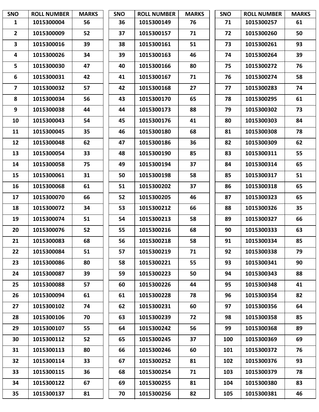| <b>SNO</b>              | <b>ROLL NUMBER</b> | <b>MARKS</b> | <b>SNO</b> | <b>ROLL NUMBER</b> | <b>MARKS</b> | <b>SNO</b> | <b>ROLL NUMBER</b> | <b>MARKS</b> |
|-------------------------|--------------------|--------------|------------|--------------------|--------------|------------|--------------------|--------------|
| $\mathbf{1}$            | 1015300004         | 56           | 36         | 1015300149         | 76           | 71         | 1015300257         | 61           |
| $\overline{2}$          | 1015300009         | 52           | 37         | 1015300157         | 71           | 72         | 1015300260         | 50           |
| $\mathbf{3}$            | 1015300016         | 39           | 38         | 1015300161         | 51           | 73         | 1015300261         | 93           |
| 4                       | 1015300026         | 34           | 39         | 1015300163         | 46           | 74         | 1015300264         | 39           |
| 5                       | 1015300030         | 47           | 40         | 1015300166         | 80           | 75         | 1015300272         | 76           |
| 6                       | 1015300031         | 42           | 41         | 1015300167         | 71           | 76         | 1015300274         | 58           |
| $\overline{\mathbf{z}}$ | 1015300032         | 57           | 42         | 1015300168         | 27           | 77         | 1015300283         | 74           |
| 8                       | 1015300034         | 56           | 43         | 1015300170         | 65           | 78         | 1015300295         | 61           |
| 9                       | 1015300038         | 44           | 44         | 1015300173         | 88           | 79         | 1015300302         | 73           |
| 10                      | 1015300043         | 54           | 45         | 1015300176         | 41           | 80         | 1015300303         | 84           |
| 11                      | 1015300045         | 35           | 46         | 1015300180         | 68           | 81         | 1015300308         | 78           |
| 12                      | 1015300048         | 62           | 47         | 1015300186         | 36           | 82         | 1015300309         | 62           |
| 13                      | 1015300054         | 33           | 48         | 1015300190         | 85           | 83         | 1015300311         | 55           |
| 14                      | 1015300058         | 75           | 49         | 1015300194         | 37           | 84         | 1015300314         | 65           |
| 15                      | 1015300061         | 31           | 50         | 1015300198         | 58           | 85         | 1015300317         | 51           |
| 16                      | 1015300068         | 61           | 51         | 1015300202         | 37           | 86         | 1015300318         | 65           |
| 17                      | 1015300070         | 66           | 52         | 1015300205         | 46           | 87         | 1015300323         | 65           |
| 18                      | 1015300072         | 34           | 53         | 1015300212         | 66           | 88         | 1015300326         | 35           |
| 19                      | 1015300074         | 51           | 54         | 1015300213         | 58           | 89         | 1015300327         | 66           |
| 20                      | 1015300076         | 52           | 55         | 1015300216         | 68           | 90         | 1015300333         | 63           |
| 21                      | 1015300083         | 68           | 56         | 1015300218         | 58           | 91         | 1015300334         | 85           |
| 22                      | 1015300084         | 51           | 57         | 1015300219         | 71           | 92         | 1015300338         | 79           |
| 23                      | 1015300086         | 80           | 58         | 1015300221         | 55           | 93         | 1015300341         | 90           |
| 24                      | 1015300087         | 39           | 59         | 1015300223         | 50           | 94         | 1015300343         | 88           |
| 25                      | 1015300088         | 57           | 60         | 1015300226         | 44           | 95         | 1015300348         | 41           |
| 26                      | 1015300094         | 61           | 61         | 1015300228         | 78           | 96         | 1015300354         | 82           |
| 27                      | 1015300102         | 74           | 62         | 1015300231         | 60           | 97         | 1015300356         | 64           |
| 28                      | 1015300106         | 70           | 63         | 1015300239         | 72           | 98         | 1015300358         | 85           |
| 29                      | 1015300107         | 55           | 64         | 1015300242         | 56           | 99         | 1015300368         | 89           |
| 30                      | 1015300112         | 52           | 65         | 1015300245         | 37           | 100        | 1015300369         | 69           |
| 31                      | 1015300113         | 80           | 66         | 1015300246         | 60           | 101        | 1015300372         | 76           |
| 32                      | 1015300114         | 33           | 67         | 1015300252         | 81           | 102        | 1015300376         | 93           |
| 33                      | 1015300115         | 36           | 68         | 1015300254         | 71           | 103        | 1015300379         | 78           |
| 34                      | 1015300122         | 67           | 69         | 1015300255         | 81           | 104        | 1015300380         | 83           |
| 35                      | 1015300137         | 81           | 70         | 1015300256         | 82           | 105        | 1015300381         | 46           |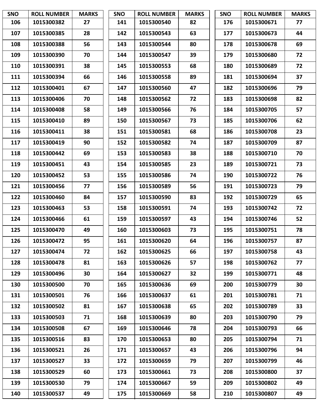| <b>SNO</b> | <b>ROLL NUMBER</b> | <b>MARKS</b> | <b>SNO</b> | <b>ROLL NUMBER</b> | <b>MARKS</b> | <b>SNO</b> | <b>ROLL NUMBER</b> | <b>MARKS</b> |
|------------|--------------------|--------------|------------|--------------------|--------------|------------|--------------------|--------------|
| 106        | 1015300382         | 27           | 141        | 1015300540         | 82           | 176        | 1015300671         | 77           |
| 107        | 1015300385         | 28           | 142        | 1015300543         | 63           | 177        | 1015300673         | 44           |
| 108        | 1015300388         | 56           | 143        | 1015300544         | 80           | 178        | 1015300678         | 69           |
| 109        | 1015300390         | 70           | 144        | 1015300547         | 39           | 179        | 1015300680         | 72           |
| 110        | 1015300391         | 38           | 145        | 1015300553         | 68           | 180        | 1015300689         | 72           |
| 111        | 1015300394         | 66           | 146        | 1015300558         | 89           | 181        | 1015300694         | 37           |
| 112        | 1015300401         | 67           | 147        | 1015300560         | 47           | 182        | 1015300696         | 79           |
| 113        | 1015300406         | 70           | 148        | 1015300562         | 72           | 183        | 1015300698         | 82           |
| 114        | 1015300408         | 58           | 149        | 1015300566         | 76           | 184        | 1015300705         | 57           |
| 115        | 1015300410         | 89           | 150        | 1015300567         | 73           | 185        | 1015300706         | 62           |
| 116        | 1015300411         | 38           | 151        | 1015300581         | 68           | 186        | 1015300708         | 23           |
| 117        | 1015300419         | 90           | 152        | 1015300582         | 74           | 187        | 1015300709         | 87           |
| 118        | 1015300442         | 69           | 153        | 1015300583         | 38           | 188        | 1015300710         | 70           |
| 119        | 1015300451         | 43           | 154        | 1015300585         | 23           | 189        | 1015300721         | 73           |
| 120        | 1015300452         | 53           | 155        | 1015300586         | 74           | 190        | 1015300722         | 76           |
| 121        | 1015300456         | 77           | 156        | 1015300589         | 56           | 191        | 1015300723         | 79           |
| 122        | 1015300460         | 84           | 157        | 1015300590         | 83           | 192        | 1015300729         | 65           |
| 123        | 1015300463         | 53           | 158        | 1015300591         | 74           | 193        | 1015300742         | 72           |
| 124        | 1015300466         | 61           | 159        | 1015300597         | 43           | 194        | 1015300746         | 52           |
| 125        | 1015300470         | 49           | 160        | 1015300603         | 73           | 195        | 1015300751         | 78           |
| 126        | 1015300472         | 95           | 161        | 1015300620         | 64           | 196        | 1015300757         | 87           |
| 127        | 1015300474         | 72           | 162        | 1015300625         | 66           | 197        | 1015300758         | 43           |
| 128        | 1015300478         | 81           | 163        | 1015300626         | 57           | 198        | 1015300762         | 77           |
| 129        | 1015300496         | 30           | 164        | 1015300627         | 32           | 199        | 1015300771         | 48           |
| 130        | 1015300500         | 70           | 165        | 1015300636         | 69           | 200        | 1015300779         | 30           |
| 131        | 1015300501         | 76           | 166        | 1015300637         | 61           | 201        | 1015300781         | 71           |
| 132        | 1015300502         | 81           | 167        | 1015300638         | 65           | 202        | 1015300789         | 33           |
| 133        | 1015300503         | 71           | 168        | 1015300639         | 80           | 203        | 1015300790         | 79           |
| 134        | 1015300508         | 67           | 169        | 1015300646         | 78           | 204        | 1015300793         | 66           |
| 135        | 1015300516         | 83           | 170        | 1015300653         | 80           | 205        | 1015300794         | 71           |
| 136        | 1015300521         | 26           | 171        | 1015300657         | 43           | 206        | 1015300796         | 94           |
| 137        | 1015300527         | 33           | 172        | 1015300659         | 79           | 207        | 1015300799         | 46           |
| 138        | 1015300529         | 60           | 173        | 1015300661         | 73           | 208        | 1015300800         | 37           |
| 139        | 1015300530         | 79           | 174        | 1015300667         | 59           | 209        | 1015300802         | 49           |
| 140        | 1015300537         | 49           | 175        | 1015300669         | 58           | 210        | 1015300807         | 49           |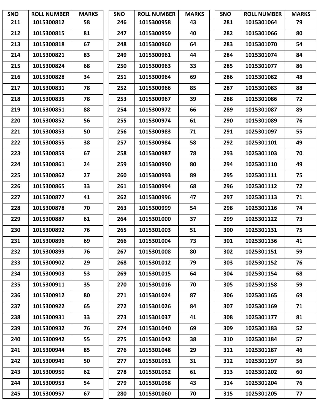| <b>SNO</b> | <b>ROLL NUMBER</b> | <b>MARKS</b> | <b>SNO</b> | <b>ROLL NUMBER</b> | <b>MARKS</b> | <b>SNO</b> | <b>ROLL NUMBER</b> | <b>MARKS</b> |
|------------|--------------------|--------------|------------|--------------------|--------------|------------|--------------------|--------------|
| 211        | 1015300812         | 58           | 246        | 1015300958         | 43           | 281        | 1015301064         | 79           |
| 212        | 1015300815         | 81           | 247        | 1015300959         | 40           | 282        | 1015301066         | 80           |
| 213        | 1015300818         | 67           | 248        | 1015300960         | 64           | 283        | 1015301070         | 54           |
| 214        | 1015300821         | 83           | 249        | 1015300961         | 44           | 284        | 1015301074         | 84           |
| 215        | 1015300824         | 68           | 250        | 1015300963         | 33           | 285        | 1015301077         | 86           |
| 216        | 1015300828         | 34           | 251        | 1015300964         | 69           | 286        | 1015301082         | 48           |
| 217        | 1015300831         | 78           | 252        | 1015300966         | 85           | 287        | 1015301083         | 88           |
| 218        | 1015300835         | 78           | 253        | 1015300967         | 39           | 288        | 1015301086         | 72           |
| 219        | 1015300851         | 88           | 254        | 1015300972         | 66           | 289        | 1015301087         | 89           |
| 220        | 1015300852         | 56           | 255        | 1015300974         | 61           | 290        | 1015301089         | 76           |
| 221        | 1015300853         | 50           | 256        | 1015300983         | 71           | 291        | 1025301097         | 55           |
| 222        | 1015300855         | 38           | 257        | 1015300984         | 58           | 292        | 1025301101         | 49           |
| 223        | 1015300859         | 67           | 258        | 1015300987         | 78           | 293        | 1025301103         | 70           |
| 224        | 1015300861         | 24           | 259        | 1015300990         | 80           | 294        | 1025301110         | 49           |
| 225        | 1015300862         | 27           | 260        | 1015300993         | 89           | 295        | 1025301111         | 75           |
| 226        | 1015300865         | 33           | 261        | 1015300994         | 68           | 296        | 1025301112         | 72           |
| 227        | 1015300877         | 41           | 262        | 1015300996         | 47           | 297        | 1025301113         | 71           |
| 228        | 1015300878         | 70           | 263        | 1015300999         | 54           | 298        | 1025301116         | 74           |
| 229        | 1015300887         | 61           | 264        | 1015301000         | 37           | 299        | 1025301122         | 73           |
| 230        | 1015300892         | 76           | 265        | 1015301003         | 51           | 300        | 1025301131         | 75           |
| 231        | 1015300896         | 69           | 266        | 1015301004         | 73           | 301        | 1025301136         | 41           |
| 232        | 1015300899         | 76           | 267        | 1015301008         | 80           | 302        | 1025301151         | 59           |
| 233        | 1015300902         | 29           | 268        | 1015301012         | 79           | 303        | 1025301152         | 76           |
| 234        | 1015300903         | 53           | 269        | 1015301015         | 64           | 304        | 1025301154         | 68           |
| 235        | 1015300911         | 35           | 270        | 1015301016         | 70           | 305        | 1025301158         | 59           |
| 236        | 1015300912         | 80           | 271        | 1015301024         | 87           | 306        | 1025301165         | 69           |
| 237        | 1015300922         | 65           | 272        | 1015301026         | 84           | 307        | 1025301169         | 71           |
| 238        | 1015300931         | 33           | 273        | 1015301037         | 41           | 308        | 1025301177         | 81           |
| 239        | 1015300932         | 76           | 274        | 1015301040         | 69           | 309        | 1025301183         | 52           |
| 240        | 1015300942         | 55           | 275        | 1015301042         | 38           | 310        | 1025301184         | 57           |
| 241        | 1015300944         | 85           | 276        | 1015301048         | 29           | 311        | 1025301187         | 46           |
| 242        | 1015300949         | 50           | 277        | 1015301051         | 31           | 312        | 1025301197         | 56           |
| 243        | 1015300950         | 62           | 278        | 1015301052         | 61           | 313        | 1025301202         | 60           |
| 244        | 1015300953         | 54           | 279        | 1015301058         | 43           | 314        | 1025301204         | 76           |
| 245        | 1015300957         | 67           | 280        | 1015301060         | 70           | 315        | 1025301205         | 77           |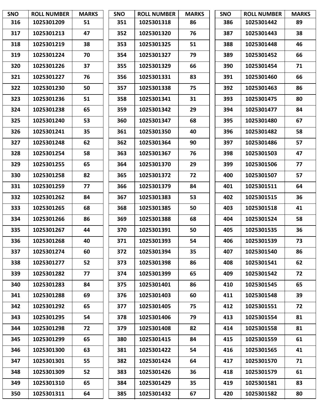| <b>SNO</b> | <b>ROLL NUMBER</b> | <b>MARKS</b> | <b>SNO</b> | <b>ROLL NUMBER</b> | <b>MARKS</b> | <b>SNO</b> | <b>ROLL NUMBER</b> | <b>MARKS</b> |
|------------|--------------------|--------------|------------|--------------------|--------------|------------|--------------------|--------------|
| 316        | 1025301209         | 51           | 351        | 1025301318         | 86           | 386        | 1025301442         | 89           |
| 317        | 1025301213         | 47           | 352        | 1025301320         | 76           | 387        | 1025301443         | 38           |
| 318        | 1025301219         | 38           | 353        | 1025301325         | 51           | 388        | 1025301448         | 46           |
| 319        | 1025301224         | 70           | 354        | 1025301327         | 79           | 389        | 1025301452         | 66           |
| 320        | 1025301226         | 37           | 355        | 1025301329         | 66           | 390        | 1025301454         | 71           |
| 321        | 1025301227         | 76           | 356        | 1025301331         | 83           | 391        | 1025301460         | 66           |
| 322        | 1025301230         | 50           | 357        | 1025301338         | 75           | 392        | 1025301463         | 86           |
| 323        | 1025301236         | 51           | 358        | 1025301341         | 31           | 393        | 1025301475         | 80           |
| 324        | 1025301238         | 65           | 359        | 1025301342         | 29           | 394        | 1025301477         | 84           |
| 325        | 1025301240         | 53           | 360        | 1025301347         | 68           | 395        | 1025301480         | 67           |
| 326        | 1025301241         | 35           | 361        | 1025301350         | 40           | 396        | 1025301482         | 58           |
| 327        | 1025301248         | 62           | 362        | 1025301364         | 90           | 397        | 1025301486         | 57           |
| 328        | 1025301254         | 58           | 363        | 1025301367         | 76           | 398        | 1025301503         | 47           |
| 329        | 1025301255         | 65           | 364        | 1025301370         | 29           | 399        | 1025301506         | 77           |
| 330        | 1025301258         | 82           | 365        | 1025301372         | 72           | 400        | 1025301507         | 57           |
| 331        | 1025301259         | 77           | 366        | 1025301379         | 84           | 401        | 1025301511         | 64           |
| 332        | 1025301262         | 84           | 367        | 1025301383         | 53           | 402        | 1025301515         | 36           |
| 333        | 1025301265         | 68           | 368        | 1025301385         | 50           | 403        | 1025301518         | 41           |
| 334        | 1025301266         | 86           | 369        | 1025301388         | 68           | 404        | 1025301524         | 58           |
| 335        | 1025301267         | 44           | 370        | 1025301391         | 50           | 405        | 1025301535         | 36           |
| 336        | 1025301268         | 40           | 371        | 1025301393         | 54           | 406        | 1025301539         | 73           |
| 337        | 1025301274         | 60           | 372        | 1025301394         | 35           | 407        | 1025301540         | 86           |
| 338        | 1025301277         | 52           | 373        | 1025301398         | 86           | 408        | 1025301541         | 62           |
| 339        | 1025301282         | 77           | 374        | 1025301399         | 65           | 409        | 1025301542         | 72           |
| 340        | 1025301283         | 84           | 375        | 1025301401         | 86           | 410        | 1025301545         | 65           |
| 341        | 1025301288         | 69           | 376        | 1025301403         | 60           | 411        | 1025301548         | 39           |
| 342        | 1025301292         | 65           | 377        | 1025301405         | 75           | 412        | 1025301551         | 72           |
| 343        | 1025301295         | 54           | 378        | 1025301406         | 79           | 413        | 1025301554         | 81           |
| 344        | 1025301298         | 72           | 379        | 1025301408         | 82           | 414        | 1025301558         | 81           |
| 345        | 1025301299         | 65           | 380        | 1025301415         | 84           | 415        | 1025301559         | 61           |
| 346        | 1025301300         | 63           | 381        | 1025301422         | 54           | 416        | 1025301565         | 41           |
| 347        | 1025301301         | 55           | 382        | 1025301424         | 64           | 417        | 1025301570         | 71           |
| 348        | 1025301309         | 52           | 383        | 1025301426         | 36           | 418        | 1025301579         | 61           |
| 349        | 1025301310         | 65           | 384        | 1025301429         | 35           | 419        | 1025301581         | 83           |
| 350        | 1025301311         | 64           | 385        | 1025301432         | 67           | 420        | 1025301582         | 80           |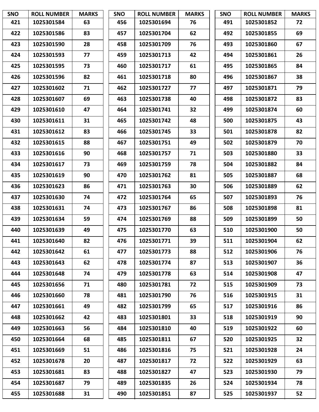| <b>SNO</b> | <b>ROLL NUMBER</b> | <b>MARKS</b> | <b>SNO</b> | <b>ROLL NUMBER</b> | <b>MARKS</b> | <b>SNO</b> | <b>ROLL NUMBER</b> | <b>MARKS</b> |
|------------|--------------------|--------------|------------|--------------------|--------------|------------|--------------------|--------------|
| 421        | 1025301584         | 63           | 456        | 1025301694         | 76           | 491        | 1025301852         | 72           |
| 422        | 1025301586         | 83           | 457        | 1025301704         | 62           | 492        | 1025301855         | 69           |
| 423        | 1025301590         | 28           | 458        | 1025301709         | 76           | 493        | 1025301860         | 67           |
| 424        | 1025301593         | 77           | 459        | 1025301713         | 42           | 494        | 1025301861         | 26           |
| 425        | 1025301595         | 73           | 460        | 1025301717         | 61           | 495        | 1025301865         | 84           |
| 426        | 1025301596         | 82           | 461        | 1025301718         | 80           | 496        | 1025301867         | 38           |
| 427        | 1025301602         | 71           | 462        | 1025301727         | 77           | 497        | 1025301871         | 79           |
| 428        | 1025301607         | 69           | 463        | 1025301738         | 40           | 498        | 1025301872         | 83           |
| 429        | 1025301610         | 47           | 464        | 1025301741         | 32           | 499        | 1025301874         | 60           |
| 430        | 1025301611         | 31           | 465        | 1025301742         | 48           | 500        | 1025301875         | 43           |
| 431        | 1025301612         | 83           | 466        | 1025301745         | 33           | 501        | 1025301878         | 82           |
| 432        | 1025301615         | 88           | 467        | 1025301751         | 49           | 502        | 1025301879         | 70           |
| 433        | 1025301616         | 90           | 468        | 1025301757         | 71           | 503        | 1025301880         | 33           |
| 434        | 1025301617         | 73           | 469        | 1025301759         | 78           | 504        | 1025301882         | 84           |
| 435        | 1025301619         | 90           | 470        | 1025301762         | 81           | 505        | 1025301887         | 68           |
| 436        | 1025301623         | 86           | 471        | 1025301763         | 30           | 506        | 1025301889         | 62           |
| 437        | 1025301630         | 74           | 472        | 1025301764         | 65           | 507        | 1025301893         | 76           |
| 438        | 1025301631         | 74           | 473        | 1025301767         | 86           | 508        | 1025301898         | 81           |
| 439        | 1025301634         | 59           | 474        | 1025301769         | 88           | 509        | 1025301899         | 50           |
| 440        | 1025301639         | 49           | 475        | 1025301770         | 63           | 510        | 1025301900         | 50           |
| 441        | 1025301640         | 82           | 476        | 1025301771         | 39           | 511        | 1025301904         | 62           |
| 442        | 1025301642         | 61           | 477        | 1025301773         | 88           | 512        | 1025301906         | 76           |
| 443        | 1025301643         | 62           | 478        | 1025301774         | 87           | 513        | 1025301907         | 36           |
| 444        | 1025301648         | 74           | 479        | 1025301778         | 63           | 514        | 1025301908         | 47           |
| 445        | 1025301656         | 71           | 480        | 1025301781         | 72           | 515        | 1025301909         | 73           |
| 446        | 1025301660         | 78           | 481        | 1025301790         | 76           | 516        | 1025301915         | 31           |
| 447        | 1025301661         | 49           | 482        | 1025301799         | 65           | 517        | 1025301916         | 86           |
| 448        | 1025301662         | 42           | 483        | 1025301801         | 33           | 518        | 1025301919         | 90           |
| 449        | 1025301663         | 56           | 484        | 1025301810         | 40           | 519        | 1025301922         | 60           |
| 450        | 1025301664         | 68           | 485        | 1025301811         | 67           | 520        | 1025301925         | 32           |
| 451        | 1025301669         | 51           | 486        | 1025301816         | 75           | 521        | 1025301928         | 24           |
| 452        | 1025301678         | 20           | 487        | 1025301817         | 72           | 522        | 1025301929         | 63           |
| 453        | 1025301681         | 83           | 488        | 1025301827         | 47           | 523        | 1025301930         | 79           |
| 454        | 1025301687         | 79           | 489        | 1025301835         | 26           | 524        | 1025301934         | 78           |
| 455        | 1025301688         | 31           | 490        | 1025301851         | 87           | 525        | 1025301937         | 52           |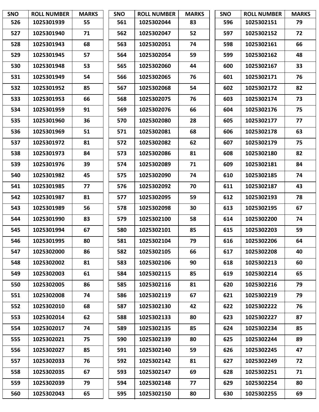| <b>SNO</b> | <b>ROLL NUMBER</b> | <b>MARKS</b> | <b>SNO</b> | <b>ROLL NUMBER</b> | <b>MARKS</b> | <b>SNO</b> | <b>ROLL NUMBER</b> | <b>MARKS</b> |
|------------|--------------------|--------------|------------|--------------------|--------------|------------|--------------------|--------------|
| 526        | 1025301939         | 55           | 561        | 1025302044         | 83           | 596        | 1025302151         | 79           |
| 527        | 1025301940         | 71           | 562        | 1025302047         | 52           | 597        | 1025302152         | 72           |
| 528        | 1025301943         | 68           | 563        | 1025302051         | 74           | 598        | 1025302161         | 66           |
| 529        | 1025301945         | 57           | 564        | 1025302054         | 59           | 599        | 1025302162         | 48           |
| 530        | 1025301948         | 53           | 565        | 1025302060         | 44           | 600        | 1025302167         | 33           |
| 531        | 1025301949         | 54           | 566        | 1025302065         | 76           | 601        | 1025302171         | 76           |
| 532        | 1025301952         | 85           | 567        | 1025302068         | 54           | 602        | 1025302172         | 82           |
| 533        | 1025301953         | 66           | 568        | 1025302075         | 76           | 603        | 1025302174         | 73           |
| 534        | 1025301959         | 91           | 569        | 1025302076         | 66           | 604        | 1025302176         | 75           |
| 535        | 1025301960         | 36           | 570        | 1025302080         | 28           | 605        | 1025302177         | 77           |
| 536        | 1025301969         | 51           | 571        | 1025302081         | 68           | 606        | 1025302178         | 63           |
| 537        | 1025301972         | 81           | 572        | 1025302082         | 62           | 607        | 1025302179         | 75           |
| 538        | 1025301973         | 84           | 573        | 1025302086         | 81           | 608        | 1025302180         | 82           |
| 539        | 1025301976         | 39           | 574        | 1025302089         | 71           | 609        | 1025302181         | 84           |
| 540        | 1025301982         | 45           | 575        | 1025302090         | 74           | 610        | 1025302185         | 74           |
| 541        | 1025301985         | 77           | 576        | 1025302092         | 70           | 611        | 1025302187         | 43           |
| 542        | 1025301987         | 81           | 577        | 1025302095         | 59           | 612        | 1025302193         | 78           |
| 543        | 1025301989         | 56           | 578        | 1025302098         | 30           | 613        | 1025302195         | 67           |
| 544        | 1025301990         | 83           | 579        | 1025302100         | 58           | 614        | 1025302200         | 74           |
| 545        | 1025301994         | 67           | 580        | 1025302101         | 85           | 615        | 1025302203         | 59           |
| 546        | 1025301995         | 80           | 581        | 1025302104         | 79           | 616        | 1025302206         | 64           |
| 547        | 1025302000         | 86           | 582        | 1025302105         | 66           | 617        | 1025302208         | 40           |
| 548        | 1025302002         | 81           | 583        | 1025302106         | 90           | 618        | 1025302213         | 60           |
| 549        | 1025302003         | 61           | 584        | 1025302115         | 85           | 619        | 1025302214         | 65           |
| 550        | 1025302005         | 86           | 585        | 1025302116         | 81           | 620        | 1025302216         | 79           |
| 551        | 1025302008         | 74           | 586        | 1025302119         | 67           | 621        | 1025302219         | 79           |
| 552        | 1025302010         | 68           | 587        | 1025302130         | 42           | 622        | 1025302222         | 76           |
| 553        | 1025302014         | 62           | 588        | 1025302133         | 80           | 623        | 1025302227         | 87           |
| 554        | 1025302017         | 74           | 589        | 1025302135         | 85           | 624        | 1025302234         | 85           |
| 555        | 1025302021         | 75           | 590        | 1025302139         | 80           | 625        | 1025302244         | 89           |
| 556        | 1025302027         | 85           | 591        | 1025302140         | 59           | 626        | 1025302245         | 47           |
| 557        | 1025302033         | 76           | 592        | 1025302142         | 81           | 627        | 1025302249         | 72           |
| 558        | 1025302035         | 67           | 593        | 1025302147         | 69           | 628        | 1025302251         | 71           |
| 559        | 1025302039         | 79           | 594        | 1025302148         | 77           | 629        | 1025302254         | 80           |
| 560        | 1025302043         | 65           | 595        | 1025302150         | 80           | 630        | 1025302255         | 69           |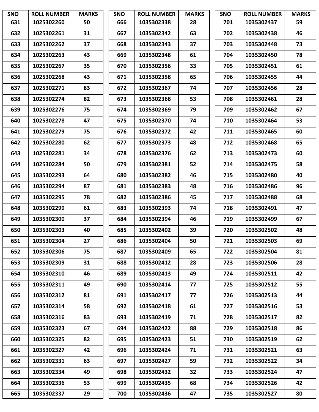| <b>SNO</b> | <b>ROLL NUMBER</b> | <b>MARKS</b> | <b>SNO</b> | <b>ROLL NUMBER</b> | <b>MARKS</b> | <b>SNO</b> | <b>ROLL NUMBER</b> | <b>MARKS</b> |
|------------|--------------------|--------------|------------|--------------------|--------------|------------|--------------------|--------------|
| 631        | 1025302260         | 50           | 666        | 1035302338         | 28           | 701        | 1035302437         | 59           |
| 632        | 1025302261         | 31           | 667        | 1035302342         | 63           | 702        | 1035302438         | 46           |
| 633        | 1025302262         | 37           | 668        | 1035302343         | 37           | 703        | 1035302448         | 73           |
| 634        | 1025302263         | 43           | 669        | 1035302348         | 61           | 704        | 1035302450         | 78           |
| 635        | 1025302267         | 35           | 670        | 1035302356         | 33           | 705        | 1035302451         | 61           |
| 636        | 1025302268         | 43           | 671        | 1035302358         | 65           | 706        | 1035302455         | 44           |
| 637        | 1025302271         | 83           | 672        | 1035302367         | 74           | 707        | 1035302456         | 28           |
| 638        | 1025302274         | 82           | 673        | 1035302368         | 53           | 708        | 1035302461         | 28           |
| 639        | 1025302276         | 75           | 674        | 1035302369         | 79           | 709        | 1035302462         | 67           |
| 640        | 1025302278         | 47           | 675        | 1035302370         | 74           | 710        | 1035302464         | 53           |
| 641        | 1025302279         | 75           | 676        | 1035302372         | 42           | 711        | 1035302465         | 60           |
| 642        | 1025302280         | 62           | 677        | 1035302373         | 48           | 712        | 1035302468         | 65           |
| 643        | 1025302281         | 34           | 678        | 1035302376         | 62           | 713        | 1035302473         | 60           |
| 644        | 1025302284         | 50           | 679        | 1035302381         | 52           | 714        | 1035302475         | 58           |
| 645        | 1035302293         | 64           | 680        | 1035302382         | 46           | 715        | 1035302480         | 40           |
| 646        | 1035302294         | 87           | 681        | 1035302383         | 48           | 716        | 1035302486         | 96           |
| 647        | 1035302295         | 78           | 682        | 1035302386         | 45           | 717        | 1035302488         | 68           |
| 648        | 1035302299         | 61           | 683        | 1035302393         | 74           | 718        | 1035302491         | 47           |
| 649        | 1035302300         | 37           | 684        | 1035302394         | 46           | 719        | 1035302499         | 67           |
| 650        | 1035302303         | 40           | 685        | 1035302402         | 39           | 720        | 1035302502         | 48           |
| 651        | 1035302304         | 27           | 686        | 1035302404         | 50           | 721        | 1035302503         | 69           |
| 652        | 1035302306         | 75           | 687        | 1035302409         | 65           | 722        | 1035302504         | 81           |
| 653        | 1035302309         | 31           | 688        | 1035302412         | 28           | 723        | 1035302506         | 28           |
| 654        | 1035302310         | 46           | 689        | 1035302413         | 49           | 724        | 1035302511         | 42           |
| 655        | 1035302311         | 49           | 690        | 1035302414         | 77           | 725        | 1035302512         | 55           |
| 656        | 1035302312         | 81           | 691        | 1035302417         | 77           | 726        | 1035302513         | 44           |
| 657        | 1035302314         | 58           | 692        | 1035302418         | 61           | 727        | 1035302516         | 53           |
| 658        | 1035302316         | 83           | 693        | 1035302419         | 71           | 728        | 1035302517         | 82           |
| 659        | 1035302323         | 67           | 694        | 1035302422         | 88           | 729        | 1035302518         | 86           |
| 660        | 1035302325         | 82           | 695        | 1035302423         | 51           | 730        | 1035302519         | 62           |
| 661        | 1035302327         | 42           | 696        | 1035302424         | 71           | 731        | 1035302521         | 63           |
| 662        | 1035302331         | 63           | 697        | 1035302427         | 59           | 732        | 1035302522         | 34           |
| 663        | 1035302334         | 49           | 698        | 1035302432         | 32           | 733        | 1035302524         | 47           |
| 664        | 1035302336         | 53           | 699        | 1035302435         | 68           | 734        | 1035302526         | 42           |
| 665        | 1035302337         | 29           | 700        | 1035302436         | 47           | 735        | 1035302527         | 80           |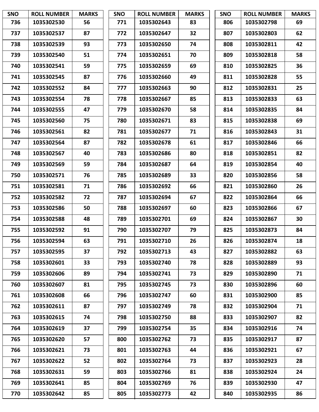| <b>SNO</b> | <b>ROLL NUMBER</b> | <b>MARKS</b> | <b>SNO</b> | <b>ROLL NUMBER</b> | <b>MARKS</b> | <b>SNO</b> | <b>ROLL NUMBER</b> | <b>MARKS</b> |
|------------|--------------------|--------------|------------|--------------------|--------------|------------|--------------------|--------------|
| 736        | 1035302530         | 56           | 771        | 1035302643         | 83           | 806        | 1035302798         | 69           |
| 737        | 1035302537         | 87           | 772        | 1035302647         | 32           | 807        | 1035302803         | 62           |
| 738        | 1035302539         | 93           | 773        | 1035302650         | 74           | 808        | 1035302811         | 42           |
| 739        | 1035302540         | 51           | 774        | 1035302651         | 70           | 809        | 1035302818         | 58           |
| 740        | 1035302541         | 59           | 775        | 1035302659         | 69           | 810        | 1035302825         | 36           |
| 741        | 1035302545         | 87           | 776        | 1035302660         | 49           | 811        | 1035302828         | 55           |
| 742        | 1035302552         | 84           | 777        | 1035302663         | 90           | 812        | 1035302831         | 25           |
| 743        | 1035302554         | 78           | 778        | 1035302667         | 85           | 813        | 1035302833         | 63           |
| 744        | 1035302555         | 47           | 779        | 1035302670         | 58           | 814        | 1035302835         | 84           |
| 745        | 1035302560         | 75           | 780        | 1035302671         | 83           | 815        | 1035302838         | 69           |
| 746        | 1035302561         | 82           | 781        | 1035302677         | 71           | 816        | 1035302843         | 31           |
| 747        | 1035302564         | 87           | 782        | 1035302678         | 61           | 817        | 1035302846         | 66           |
| 748        | 1035302567         | 40           | 783        | 1035302686         | 80           | 818        | 1035302851         | 82           |
| 749        | 1035302569         | 59           | 784        | 1035302687         | 64           | 819        | 1035302854         | 40           |
| 750        | 1035302571         | 76           | 785        | 1035302689         | 33           | 820        | 1035302856         | 58           |
| 751        | 1035302581         | 71           | 786        | 1035302692         | 66           | 821        | 1035302860         | 26           |
| 752        | 1035302582         | 72           | 787        | 1035302694         | 67           | 822        | 1035302864         | 66           |
| 753        | 1035302586         | 50           | 788        | 1035302697         | 60           | 823        | 1035302866         | 67           |
| 754        | 1035302588         | 48           | 789        | 1035302701         | 69           | 824        | 1035302867         | 30           |
| 755        | 1035302592         | 91           | 790        | 1035302707         | 79           | 825        | 1035302873         | 84           |
| 756        | 1035302594         | 63           | 791        | 1035302710         | 26           | 826        | 1035302874         | 18           |
| 757        | 1035302595         | 37           | 792        | 1035302713         | 43           | 827        | 1035302882         | 63           |
| 758        | 1035302601         | 33           | 793        | 1035302740         | 78           | 828        | 1035302889         | 93           |
| 759        | 1035302606         | 89           | 794        | 1035302741         | 73           | 829        | 1035302890         | 71           |
| 760        | 1035302607         | 81           | 795        | 1035302745         | 73           | 830        | 1035302896         | 60           |
| 761        | 1035302608         | 66           | 796        | 1035302747         | 60           | 831        | 1035302900         | 85           |
| 762        | 1035302611         | 87           | 797        | 1035302749         | 78           | 832        | 1035302904         | 71           |
| 763        | 1035302615         | 74           | 798        | 1035302750         | 88           | 833        | 1035302907         | 82           |
| 764        | 1035302619         | 37           | 799        | 1035302754         | 35           | 834        | 1035302916         | 74           |
| 765        | 1035302620         | 57           | 800        | 1035302762         | 73           | 835        | 1035302917         | 87           |
| 766        | 1035302621         | 73           | 801        | 1035302763         | 44           | 836        | 1035302921         | 67           |
| 767        | 1035302622         | 52           | 802        | 1035302764         | 73           | 837        | 1035302923         | 28           |
| 768        | 1035302631         | 59           | 803        | 1035302766         | 81           | 838        | 1035302924         | 24           |
| 769        | 1035302641         | 85           | 804        | 1035302769         | 76           | 839        | 1035302930         | 47           |
| 770        | 1035302642         | 85           | 805        | 1035302773         | 42           | 840        | 1035302935         | 86           |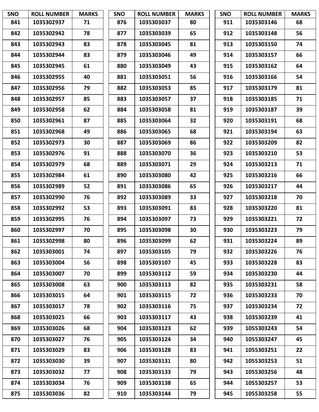| <b>SNO</b> | <b>ROLL NUMBER</b> | <b>MARKS</b> | SNO | <b>ROLL NUMBER</b> | <b>MARKS</b> | SNO | <b>ROLL NUMBER</b> | <b>MARKS</b> |
|------------|--------------------|--------------|-----|--------------------|--------------|-----|--------------------|--------------|
| 841        | 1035302937         | 71           | 876 | 1035303037         | 80           | 911 | 1035303146         | 68           |
| 842        | 1035302942         | 78           | 877 | 1035303039         | 65           | 912 | 1035303148         | 56           |
| 843        | 1035302943         | 83           | 878 | 1035303045         | 81           | 913 | 1035303150         | 74           |
| 844        | 1035302944         | 83           | 879 | 1035303046         | 49           | 914 | 1035303157         | 66           |
| 845        | 1035302945         | 61           | 880 | 1035303049         | 43           | 915 | 1035303162         | 64           |
| 846        | 1035302955         | 40           | 881 | 1035303051         | 56           | 916 | 1035303166         | 54           |
| 847        | 1035302956         | 79           | 882 | 1035303053         | 85           | 917 | 1035303179         | 81           |
| 848        | 1035302957         | 85           | 883 | 1035303057         | 37           | 918 | 1035303185         | 71           |
| 849        | 1035302958         | 62           | 884 | 1035303058         | 81           | 919 | 1035303187         | 39           |
| 850        | 1035302961         | 87           | 885 | 1035303064         | 32           | 920 | 1035303191         | 68           |
| 851        | 1035302968         | 49           | 886 | 1035303065         | 68           | 921 | 1035303194         | 63           |
| 852        | 1035302973         | 30           | 887 | 1035303069         | 86           | 922 | 1035303209         | 82           |
| 853        | 1035302976         | 91           | 888 | 1035303070         | 36           | 923 | 1035303210         | 53           |
| 854        | 1035302979         | 68           | 889 | 1035303071         | 29           | 924 | 1035303213         | 71           |
| 855        | 1035302984         | 61           | 890 | 1035303080         | 42           | 925 | 1035303216         | 66           |
| 856        | 1035302989         | 52           | 891 | 1035303086         | 65           | 926 | 1035303217         | 44           |
| 857        | 1035302990         | 76           | 892 | 1035303089         | 33           | 927 | 1035303218         | 70           |
| 858        | 1035302992         | 53           | 893 | 1035303091         | 83           | 928 | 1035303220         | 81           |
| 859        | 1035302995         | 76           | 894 | 1035303097         | 73           | 929 | 1035303221         | 72           |
| 860        | 1035302997         | 70           | 895 | 1035303098         | 30           | 930 | 1035303223         | 79           |
| 861        | 1035302998         | 80           | 896 | 1035303099         | 62           | 931 | 1035303224         | 89           |
| 862        | 1035303001         | 74           | 897 | 1035303105         | 79           | 932 | 1035303226         | 76           |
| 863        | 1035303004         | 56           | 898 | 1035303107         | 45           | 933 | 1035303228         | 83           |
| 864        | 1035303007         | 70           | 899 | 1035303112         | 59           | 934 | 1035303230         | 44           |
| 865        | 1035303008         | 63           | 900 | 1035303113         | 82           | 935 | 1035303231         | 58           |
| 866        | 1035303015         | 64           | 901 | 1035303115         | 72           | 936 | 1035303233         | 70           |
| 867        | 1035303017         | 78           | 902 | 1035303116         | 75           | 937 | 1035303234         | 72           |
| 868        | 1035303025         | 66           | 903 | 1035303117         | 43           | 938 | 1035303239         | 41           |
| 869        | 1035303026         | 68           | 904 | 1035303123         | 62           | 939 | 1055303243         | 54           |
| 870        | 1035303027         | 76           | 905 | 1035303124         | 34           | 940 | 1055303247         | 45           |
| 871        | 1035303029         | 83           | 906 | 1035303128         | 83           | 941 | 1055303251         | 22           |
| 872        | 1035303030         | 39           | 907 | 1035303131         | 80           | 942 | 1055303253         | 51           |
| 873        | 1035303032         | 77           | 908 | 1035303133         | 79           | 943 | 1055303256         | 48           |
| 874        | 1035303034         | 76           | 909 | 1035303138         | 65           | 944 | 1055303257         | 53           |
| 875        | 1035303036         | 82           | 910 | 1035303144         | 79           | 945 | 1055303258         | 55           |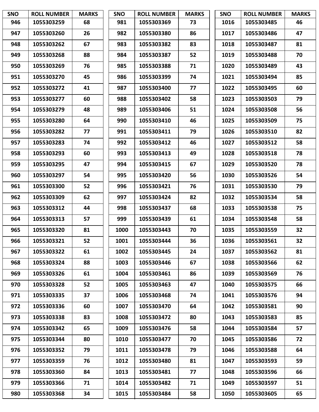| <b>SNO</b> | <b>ROLL NUMBER</b> | <b>MARKS</b> | SNO  | <b>ROLL NUMBER</b> | <b>MARKS</b> | <b>SNO</b> | <b>ROLL NUMBER</b> | <b>MARKS</b> |
|------------|--------------------|--------------|------|--------------------|--------------|------------|--------------------|--------------|
| 946        | 1055303259         | 68           | 981  | 1055303369         | 73           | 1016       | 1055303485         | 46           |
| 947        | 1055303260         | 26           | 982  | 1055303380         | 86           | 1017       | 1055303486         | 47           |
| 948        | 1055303262         | 67           | 983  | 1055303382         | 83           | 1018       | 1055303487         | 81           |
| 949        | 1055303268         | 88           | 984  | 1055303387         | 52           | 1019       | 1055303488         | 70           |
| 950        | 1055303269         | 76           | 985  | 1055303388         | 71           | 1020       | 1055303489         | 43           |
| 951        | 1055303270         | 45           | 986  | 1055303399         | 74           | 1021       | 1055303494         | 85           |
| 952        | 1055303272         | 41           | 987  | 1055303400         | 77           | 1022       | 1055303495         | 60           |
| 953        | 1055303277         | 60           | 988  | 1055303402         | 58           | 1023       | 1055303503         | 79           |
| 954        | 1055303279         | 48           | 989  | 1055303406         | 51           | 1024       | 1055303508         | 56           |
| 955        | 1055303280         | 64           | 990  | 1055303410         | 46           | 1025       | 1055303509         | 75           |
| 956        | 1055303282         | 77           | 991  | 1055303411         | 79           | 1026       | 1055303510         | 82           |
| 957        | 1055303283         | 74           | 992  | 1055303412         | 46           | 1027       | 1055303512         | 58           |
| 958        | 1055303293         | 60           | 993  | 1055303413         | 49           | 1028       | 1055303518         | 78           |
| 959        | 1055303295         | 47           | 994  | 1055303415         | 67           | 1029       | 1055303520         | 78           |
| 960        | 1055303297         | 54           | 995  | 1055303420         | 56           | 1030       | 1055303526         | 54           |
| 961        | 1055303300         | 52           | 996  | 1055303421         | 76           | 1031       | 1055303530         | 79           |
| 962        | 1055303309         | 62           | 997  | 1055303424         | 82           | 1032       | 1055303534         | 58           |
| 963        | 1055303312         | 44           | 998  | 1055303437         | 68           | 1033       | 1055303538         | 75           |
| 964        | 1055303313         | 57           | 999  | 1055303439         | 61           | 1034       | 1055303548         | 58           |
| 965        | 1055303320         | 81           | 1000 | 1055303443         | 70           | 1035       | 1055303559         | 32           |
| 966        | 1055303321         | 52           | 1001 | 1055303444         | 36           | 1036       | 1055303561         | 32           |
| 967        | 1055303322         | 61           | 1002 | 1055303445         | 24           | 1037       | 1055303562         | 81           |
| 968        | 1055303324         | 88           | 1003 | 1055303446         | 67           | 1038       | 1055303566         | 62           |
| 969        | 1055303326         | 61           | 1004 | 1055303461         | 86           | 1039       | 1055303569         | 76           |
| 970        | 1055303328         | 52           | 1005 | 1055303463         | 47           | 1040       | 1055303575         | 66           |
| 971        | 1055303335         | 37           | 1006 | 1055303468         | 74           | 1041       | 1055303576         | 94           |
| 972        | 1055303336         | 60           | 1007 | 1055303470         | 64           | 1042       | 1055303581         | 90           |
| 973        | 1055303338         | 83           | 1008 | 1055303472         | 80           | 1043       | 1055303583         | 85           |
| 974        | 1055303342         | 65           | 1009 | 1055303476         | 58           | 1044       | 1055303584         | 57           |
| 975        | 1055303344         | 80           | 1010 | 1055303477         | 70           | 1045       | 1055303586         | 72           |
| 976        | 1055303352         | 79           | 1011 | 1055303478         | 79           | 1046       | 1055303588         | 64           |
| 977        | 1055303359         | 76           | 1012 | 1055303480         | 81           | 1047       | 1055303593         | 59           |
| 978        | 1055303360         | 84           | 1013 | 1055303481         | 77           | 1048       | 1055303596         | 66           |
| 979        | 1055303366         | 71           | 1014 | 1055303482         | 71           | 1049       | 1055303597         | 51           |
| 980        | 1055303368         | 34           | 1015 | 1055303484         | 58           | 1050       | 1055303605         | 65           |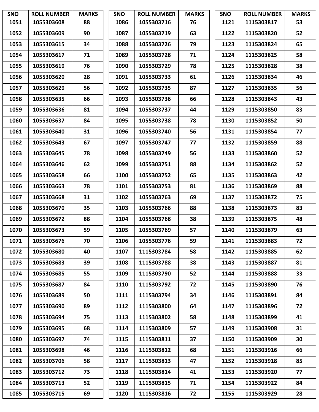| <b>SNO</b> | <b>ROLL NUMBER</b> | <b>MARKS</b> | <b>SNO</b> | <b>ROLL NUMBER</b> | <b>MARKS</b> | <b>SNO</b> | <b>ROLL NUMBER</b> | <b>MARKS</b> |
|------------|--------------------|--------------|------------|--------------------|--------------|------------|--------------------|--------------|
| 1051       | 1055303608         | 88           | 1086       | 1055303716         | 76           | 1121       | 1115303817         | 53           |
| 1052       | 1055303609         | 90           | 1087       | 1055303719         | 63           | 1122       | 1115303820         | 52           |
| 1053       | 1055303615         | 34           | 1088       | 1055303726         | 79           | 1123       | 1115303824         | 65           |
| 1054       | 1055303617         | 71           | 1089       | 1055303728         | 71           | 1124       | 1115303825         | 58           |
| 1055       | 1055303619         | 76           | 1090       | 1055303729         | 78           | 1125       | 1115303828         | 38           |
| 1056       | 1055303620         | 28           | 1091       | 1055303733         | 61           | 1126       | 1115303834         | 46           |
| 1057       | 1055303629         | 56           | 1092       | 1055303735         | 87           | 1127       | 1115303835         | 56           |
| 1058       | 1055303635         | 66           | 1093       | 1055303736         | 66           | 1128       | 1115303843         | 43           |
| 1059       | 1055303636         | 81           | 1094       | 1055303737         | 44           | 1129       | 1115303850         | 83           |
| 1060       | 1055303637         | 84           | 1095       | 1055303738         | 78           | 1130       | 1115303852         | 50           |
| 1061       | 1055303640         | 31           | 1096       | 1055303740         | 56           | 1131       | 1115303854         | 77           |
| 1062       | 1055303643         | 67           | 1097       | 1055303747         | 77           | 1132       | 1115303859         | 88           |
| 1063       | 1055303645         | 78           | 1098       | 1055303749         | 56           | 1133       | 1115303860         | 52           |
| 1064       | 1055303646         | 62           | 1099       | 1055303751         | 88           | 1134       | 1115303862         | 52           |
| 1065       | 1055303658         | 66           | 1100       | 1055303752         | 65           | 1135       | 1115303863         | 42           |
| 1066       | 1055303663         | 78           | 1101       | 1055303753         | 81           | 1136       | 1115303869         | 88           |
| 1067       | 1055303668         | 31           | 1102       | 1055303763         | 69           | 1137       | 1115303872         | 75           |
| 1068       | 1055303670         | 35           | 1103       | 1055303766         | 88           | 1138       | 1115303873         | 83           |
| 1069       | 1055303672         | 88           | 1104       | 1055303768         | 38           | 1139       | 1115303875         | 48           |
| 1070       | 1055303673         | 59           | 1105       | 1055303769         | 57           | 1140       | 1115303879         | 63           |
| 1071       | 1055303676         | 70           | 1106       | 1055303776         | 59           | 1141       | 1115303883         | 72           |
| 1072       | 1055303680         | 40           | 1107       | 1115303784         | 58           | 1142       | 1115303885         | 62           |
| 1073       | 1055303683         | 39           | 1108       | 1115303788         | 38           | 1143       | 1115303887         | 81           |
| 1074       | 1055303685         | 55           | 1109       | 1115303790         | 52           | 1144       | 1115303888         | 33           |
| 1075       | 1055303687         | 84           | 1110       | 1115303792         | 72           | 1145       | 1115303890         | 76           |
| 1076       | 1055303689         | 50           | 1111       | 1115303794         | 34           | 1146       | 1115303891         | 84           |
| 1077       | 1055303690         | 89           | 1112       | 1115303800         | 64           | 1147       | 1115303896         | 72           |
| 1078       | 1055303694         | 75           | 1113       | 1115303802         | 58           | 1148       | 1115303899         | 41           |
| 1079       | 1055303695         | 68           | 1114       | 1115303809         | 57           | 1149       | 1115303908         | 31           |
| 1080       | 1055303697         | 74           | 1115       | 1115303811         | 37           | 1150       | 1115303909         | 30           |
| 1081       | 1055303698         | 46           | 1116       | 1115303812         | 68           | 1151       | 1115303916         | 66           |
| 1082       | 1055303706         | 58           | 1117       | 1115303813         | 47           | 1152       | 1115303918         | 85           |
| 1083       | 1055303712         | 73           | 1118       | 1115303814         | 41           | 1153       | 1115303920         | 77           |
| 1084       | 1055303713         | 52           | 1119       | 1115303815         | 71           | 1154       | 1115303922         | 84           |
| 1085       | 1055303715         | 69           | 1120       | 1115303816         | 72           | 1155       | 1115303929         | 28           |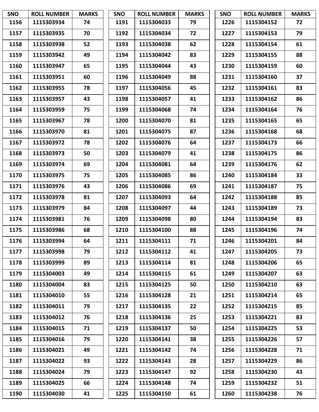| <b>SNO</b> | <b>ROLL NUMBER</b> | <b>MARKS</b> | <b>SNO</b> | <b>ROLL NUMBER</b> | <b>MARKS</b> | <b>SNO</b> | <b>ROLL NUMBER</b> | <b>MARKS</b> |
|------------|--------------------|--------------|------------|--------------------|--------------|------------|--------------------|--------------|
| 1156       | 1115303934         | 74           | 1191       | 1115304033         | 79           | 1226       | 1115304152         | 72           |
| 1157       | 1115303935         | 70           | 1192       | 1115304034         | 72           | 1227       | 1115304153         | 79           |
| 1158       | 1115303938         | 52           | 1193       | 1115304038         | 62           | 1228       | 1115304154         | 61           |
| 1159       | 1115303942         | 49           | 1194       | 1115304042         | 83           | 1229       | 1115304155         | 88           |
| 1160       | 1115303947         | 65           | 1195       | 1115304044         | 43           | 1230       | 1115304159         | 60           |
| 1161       | 1115303951         | 60           | 1196       | 1115304049         | 88           | 1231       | 1115304160         | 37           |
| 1162       | 1115303955         | 78           | 1197       | 1115304056         | 45           | 1232       | 1115304161         | 83           |
| 1163       | 1115303957         | 43           | 1198       | 1115304057         | 41           | 1233       | 1115304162         | 86           |
| 1164       | 1115303959         | 75           | 1199       | 1115304068         | 74           | 1234       | 1115304164         | 76           |
| 1165       | 1115303967         | 78           | 1200       | 1115304070         | 81           | 1235       | 1115304165         | 65           |
| 1166       | 1115303970         | 81           | 1201       | 1115304075         | 87           | 1236       | 1115304168         | 68           |
| 1167       | 1115303972         | 78           | 1202       | 1115304076         | 64           | 1237       | 1115304173         | 66           |
| 1168       | 1115303973         | 50           | 1203       | 1115304079         | 41           | 1238       | 1115304175         | 86           |
| 1169       | 1115303974         | 69           | 1204       | 1115304081         | 64           | 1239       | 1115304176         | 62           |
| 1170       | 1115303975         | 75           | 1205       | 1115304085         | 86           | 1240       | 1115304184         | 33           |
| 1171       | 1115303976         | 43           | 1206       | 1115304086         | 69           | 1241       | 1115304187         | 75           |
| 1172       | 1115303978         | 81           | 1207       | 1115304093         | 64           | 1242       | 1115304188         | 85           |
| 1173       | 1115303979         | 84           | 1208       | 1115304097         | 44           | 1243       | 1115304189         | 73           |
| 1174       | 1115303981         | 76           | 1209       | 1115304098         | 80           | 1244       | 1115304194         | 83           |
| 1175       | 1115303986         | 68           | 1210       | 1115304100         | 88           | 1245       | 1115304196         | 74           |
| 1176       | 1115303994         | 64           | 1211       | 1115304111         | 71           | 1246       | 1115304201         | 84           |
| 1177       | 1115303998         | 79           | 1212       | 1115304112         | 41           | 1247       | 1115304205         | 73           |
| 1178       | 1115303999         | 89           | 1213       | 1115304114         | 81           | 1248       | 1115304206         | 65           |
| 1179       | 1115304003         | 49           | 1214       | 1115304115         | 61           | 1249       | 1115304207         | 63           |
| 1180       | 1115304004         | 83           | 1215       | 1115304125         | 50           | 1250       | 1115304210         | 63           |
| 1181       | 1115304010         | 55           | 1216       | 1115304128         | 21           | 1251       | 1115304214         | 65           |
| 1182       | 1115304011         | 79           | 1217       | 1115304135         | 22           | 1252       | 1115304215         | 85           |
| 1183       | 1115304012         | 76           | 1218       | 1115304136         | 25           | 1253       | 1115304221         | 83           |
| 1184       | 1115304015         | 71           | 1219       | 1115304137         | 50           | 1254       | 1115304225         | 53           |
| 1185       | 1115304016         | 79           | 1220       | 1115304141         | 38           | 1255       | 1115304226         | 57           |
| 1186       | 1115304021         | 49           | 1221       | 1115304142         | 74           | 1256       | 1115304228         | 71           |
| 1187       | 1115304022         | 93           | 1222       | 1115304143         | 28           | 1257       | 1115304229         | 86           |
| 1188       | 1115304024         | 79           | 1223       | 1115304147         | 92           | 1258       | 1115304230         | 43           |
| 1189       | 1115304025         | 66           | 1224       | 1115304148         | 74           | 1259       | 1115304232         | 51           |
| 1190       | 1115304030         | 41           | 1225       | 1115304150         | 61           | 1260       | 1115304238         | 76           |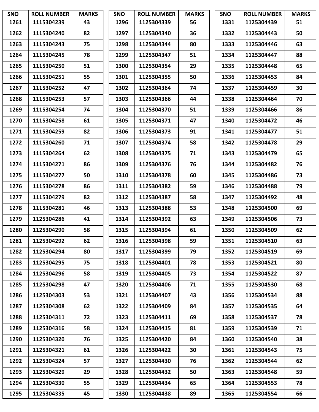| <b>SNO</b> | <b>ROLL NUMBER</b> | <b>MARKS</b> | <b>SNO</b> | <b>ROLL NUMBER</b> | <b>MARKS</b> | <b>SNO</b> | <b>ROLL NUMBER</b> | <b>MARKS</b> |
|------------|--------------------|--------------|------------|--------------------|--------------|------------|--------------------|--------------|
| 1261       | 1115304239         | 43           | 1296       | 1125304339         | 56           | 1331       | 1125304439         | 51           |
| 1262       | 1115304240         | 82           | 1297       | 1125304340         | 36           | 1332       | 1125304443         | 50           |
| 1263       | 1115304243         | 75           | 1298       | 1125304344         | 80           | 1333       | 1125304446         | 63           |
| 1264       | 1115304245         | 78           | 1299       | 1125304347         | 51           | 1334       | 1125304447         | 88           |
| 1265       | 1115304250         | 51           | 1300       | 1125304354         | 29           | 1335       | 1125304448         | 65           |
| 1266       | 1115304251         | 55           | 1301       | 1125304355         | 50           | 1336       | 1125304453         | 84           |
| 1267       | 1115304252         | 47           | 1302       | 1125304364         | 74           | 1337       | 1125304459         | 30           |
| 1268       | 1115304253         | 57           | 1303       | 1125304366         | 44           | 1338       | 1125304464         | 70           |
| 1269       | 1115304254         | 74           | 1304       | 1125304370         | 51           | 1339       | 1125304466         | 86           |
| 1270       | 1115304258         | 61           | 1305       | 1125304371         | 47           | 1340       | 1125304472         | 46           |
| 1271       | 1115304259         | 82           | 1306       | 1125304373         | 91           | 1341       | 1125304477         | 51           |
| 1272       | 1115304260         | 71           | 1307       | 1125304374         | 58           | 1342       | 1125304478         | 29           |
| 1273       | 1115304264         | 62           | 1308       | 1125304375         | 71           | 1343       | 1125304479         | 65           |
| 1274       | 1115304271         | 86           | 1309       | 1125304376         | 76           | 1344       | 1125304482         | 76           |
| 1275       | 1115304277         | 50           | 1310       | 1125304378         | 60           | 1345       | 1125304486         | 73           |
| 1276       | 1115304278         | 86           | 1311       | 1125304382         | 59           | 1346       | 1125304488         | 79           |
| 1277       | 1115304279         | 82           | 1312       | 1125304387         | 58           | 1347       | 1125304492         | 48           |
| 1278       | 1115304281         | 46           | 1313       | 1125304388         | 53           | 1348       | 1125304500         | 69           |
| 1279       | 1125304286         | 41           | 1314       | 1125304392         | 63           | 1349       | 1125304506         | 73           |
| 1280       | 1125304290         | 58           | 1315       | 1125304394         | 61           | 1350       | 1125304509         | 62           |
| 1281       | 1125304292         | 62           | 1316       | 1125304398         | 59           | 1351       | 1125304510         | 63           |
| 1282       | 1125304294         | 80           | 1317       | 1125304399         | 79           | 1352       | 1125304519         | 69           |
| 1283       | 1125304295         | 75           | 1318       | 1125304401         | 78           | 1353       | 1125304521         | 80           |
| 1284       | 1125304296         | 58           | 1319       | 1125304405         | 73           | 1354       | 1125304522         | 87           |
| 1285       | 1125304298         | 47           | 1320       | 1125304406         | 71           | 1355       | 1125304530         | 68           |
| 1286       | 1125304303         | 53           | 1321       | 1125304407         | 43           | 1356       | 1125304534         | 88           |
| 1287       | 1125304308         | 62           | 1322       | 1125304409         | 84           | 1357       | 1125304535         | 64           |
| 1288       | 1125304311         | 72           | 1323       | 1125304411         | 69           | 1358       | 1125304537         | 78           |
| 1289       | 1125304316         | 58           | 1324       | 1125304415         | 81           | 1359       | 1125304539         | 71           |
| 1290       | 1125304320         | 76           | 1325       | 1125304420         | 84           | 1360       | 1125304540         | 38           |
| 1291       | 1125304321         | 61           | 1326       | 1125304422         | 30           | 1361       | 1125304543         | 75           |
| 1292       | 1125304324         | 57           | 1327       | 1125304430         | 76           | 1362       | 1125304544         | 62           |
| 1293       | 1125304329         | 29           | 1328       | 1125304432         | 50           | 1363       | 1125304548         | 59           |
| 1294       | 1125304330         | 55           | 1329       | 1125304434         | 65           | 1364       | 1125304553         | 78           |
| 1295       | 1125304335         | 45           | 1330       | 1125304438         | 89           | 1365       | 1125304554         | 66           |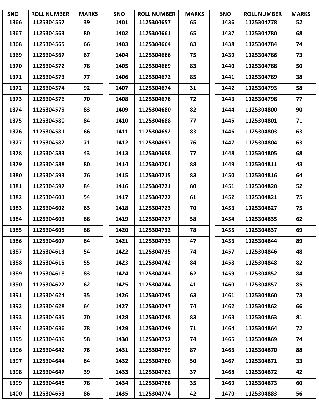| <b>SNO</b> | <b>ROLL NUMBER</b> | <b>MARKS</b> | <b>SNO</b> | <b>ROLL NUMBER</b> | <b>MARKS</b> | <b>SNO</b> | <b>ROLL NUMBER</b> | <b>MARKS</b> |
|------------|--------------------|--------------|------------|--------------------|--------------|------------|--------------------|--------------|
| 1366       | 1125304557         | 39           | 1401       | 1125304657         | 65           | 1436       | 1125304778         | 52           |
| 1367       | 1125304563         | 80           | 1402       | 1125304661         | 65           | 1437       | 1125304780         | 68           |
| 1368       | 1125304565         | 66           | 1403       | 1125304664         | 83           | 1438       | 1125304784         | 74           |
| 1369       | 1125304567         | 67           | 1404       | 1125304666         | 75           | 1439       | 1125304786         | 73           |
| 1370       | 1125304572         | 78           | 1405       | 1125304669         | 83           | 1440       | 1125304788         | 50           |
| 1371       | 1125304573         | 77           | 1406       | 1125304672         | 85           | 1441       | 1125304789         | 38           |
| 1372       | 1125304574         | 92           | 1407       | 1125304674         | 31           | 1442       | 1125304793         | 58           |
| 1373       | 1125304576         | 70           | 1408       | 1125304678         | 72           | 1443       | 1125304798         | 77           |
| 1374       | 1125304579         | 83           | 1409       | 1125304680         | 82           | 1444       | 1125304800         | 90           |
| 1375       | 1125304580         | 84           | 1410       | 1125304688         | 77           | 1445       | 1125304801         | 71           |
| 1376       | 1125304581         | 66           | 1411       | 1125304692         | 83           | 1446       | 1125304803         | 63           |
| 1377       | 1125304582         | 71           | 1412       | 1125304697         | 76           | 1447       | 1125304804         | 63           |
| 1378       | 1125304583         | 43           | 1413       | 1125304698         | 77           | 1448       | 1125304805         | 68           |
| 1379       | 1125304588         | 80           | 1414       | 1125304701         | 88           | 1449       | 1125304811         | 43           |
| 1380       | 1125304593         | 76           | 1415       | 1125304715         | 83           | 1450       | 1125304816         | 64           |
| 1381       | 1125304597         | 84           | 1416       | 1125304721         | 80           | 1451       | 1125304820         | 52           |
| 1382       | 1125304601         | 54           | 1417       | 1125304722         | 61           | 1452       | 1125304821         | 75           |
| 1383       | 1125304602         | 63           | 1418       | 1125304723         | 70           | 1453       | 1125304827         | 75           |
| 1384       | 1125304603         | 88           | 1419       | 1125304727         | 58           | 1454       | 1125304835         | 62           |
| 1385       | 1125304605         | 88           | 1420       | 1125304732         | 78           | 1455       | 1125304837         | 69           |
| 1386       | 1125304607         | 84           | 1421       | 1125304733         | 47           | 1456       | 1125304844         | 89           |
| 1387       | 1125304613         | 54           | 1422       | 1125304735         | 74           | 1457       | 1125304846         | 48           |
| 1388       | 1125304615         | 55           | 1423       | 1125304742         | 84           | 1458       | 1125304848         | 82           |
| 1389       | 1125304618         | 83           | 1424       | 1125304743         | 62           | 1459       | 1125304852         | 84           |
| 1390       | 1125304622         | 62           | 1425       | 1125304744         | 41           | 1460       | 1125304857         | 85           |
| 1391       | 1125304624         | 35           | 1426       | 1125304745         | 63           | 1461       | 1125304860         | 73           |
| 1392       | 1125304628         | 64           | 1427       | 1125304747         | 74           | 1462       | 1125304862         | 66           |
| 1393       | 1125304635         | 70           | 1428       | 1125304748         | 83           | 1463       | 1125304863         | 81           |
| 1394       | 1125304636         | 78           | 1429       | 1125304749         | 71           | 1464       | 1125304864         | 72           |
| 1395       | 1125304639         | 58           | 1430       | 1125304752         | 74           | 1465       | 1125304869         | 74           |
| 1396       | 1125304642         | 76           | 1431       | 1125304759         | 87           | 1466       | 1125304870         | 88           |
| 1397       | 1125304644         | 84           | 1432       | 1125304760         | 50           | 1467       | 1125304871         | 33           |
| 1398       | 1125304647         | 39           | 1433       | 1125304762         | 37           | 1468       | 1125304872         | 42           |
| 1399       | 1125304648         | 78           | 1434       | 1125304768         | 35           | 1469       | 1125304873         | 60           |
| 1400       | 1125304653         | 86           | 1435       | 1125304774         | 42           | 1470       | 1125304883         | 56           |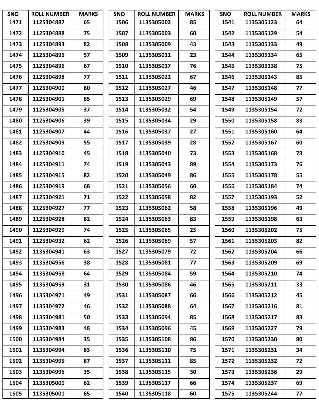| <b>SNO</b> | <b>ROLL NUMBER</b> | <b>MARKS</b> | <b>SNO</b> | <b>ROLL NUMBER</b> | <b>MARKS</b> | <b>SNO</b> | <b>ROLL NUMBER</b> | <b>MARKS</b> |
|------------|--------------------|--------------|------------|--------------------|--------------|------------|--------------------|--------------|
| 1471       | 1125304887         | 65           | 1506       | 1135305002         | 85           | 1541       | 1135305123         | 64           |
| 1472       | 1125304888         | 75           | 1507       | 1135305003         | 60           | 1542       | 1135305129         | 54           |
| 1473       | 1125304893         | 82           | 1508       | 1135305009         | 43           | 1543       | 1135305133         | 49           |
| 1474       | 1125304895         | 57           | 1509       | 1135305011         | 23           | 1544       | 1135305134         | 65           |
| 1475       | 1125304896         | 67           | 1510       | 1135305017         | 76           | 1545       | 1135305138         | 75           |
| 1476       | 1125304898         | 77           | 1511       | 1135305022         | 67           | 1546       | 1135305143         | 85           |
| 1477       | 1125304900         | 80           | 1512       | 1135305027         | 46           | 1547       | 1135305148         | 77           |
| 1478       | 1125304901         | 85           | 1513       | 1135305029         | 69           | 1548       | 1135305149         | 57           |
| 1479       | 1125304905         | 37           | 1514       | 1135305032         | 54           | 1549       | 1135305154         | 72           |
| 1480       | 1125304906         | 39           | 1515       | 1135305034         | 29           | 1550       | 1135305158         | 83           |
| 1481       | 1125304907         | 44           | 1516       | 1135305037         | 27           | 1551       | 1135305160         | 64           |
| 1482       | 1125304909         | 55           | 1517       | 1135305039         | 28           | 1552       | 1135305167         | 60           |
| 1483       | 1125304910         | 45           | 1518       | 1135305040         | 73           | 1553       | 1135305168         | 73           |
| 1484       | 1125304911         | 74           | 1519       | 1135305043         | 89           | 1554       | 1135305173         | 76           |
| 1485       | 1125304915         | 82           | 1520       | 1135305049         | 86           | 1555       | 1135305178         | 55           |
| 1486       | 1125304919         | 68           | 1521       | 1135305056         | 60           | 1556       | 1135305184         | 74           |
| 1487       | 1125304921         | 71           | 1522       | 1135305058         | 82           | 1557       | 1135305193         | 52           |
| 1488       | 1125304927         | 77           | 1523       | 1135305062         | 58           | 1558       | 1135305196         | 49           |
| 1489       | 1125304928         | 82           | 1524       | 1135305063         | 83           | 1559       | 1135305198         | 63           |
| 1490       | 1125304929         | 74           | 1525       | 1135305065         | 25           | 1560       | 1135305202         | 75           |
| 1491       | 1125304932         | 62           | 1526       | 1135305069         | 57           | 1561       | 1135305203         | 82           |
| 1492       | 1135304941         | 63           | 1527       | 1135305079         | 72           | 1562       | 1135305204         | 66           |
| 1493       | 1135304956         | 38           | 1528       | 1135305081         | 77           | 1563       | 1135305209         | 69           |
| 1494       | 1135304958         | 64           | 1529       | 1135305084         | 59           | 1564       | 1135305210         | 74           |
| 1495       | 1135304959         | 31           | 1530       | 1135305086         | 46           | 1565       | 1135305211         | 33           |
| 1496       | 1135304971         | 49           | 1531       | 1135305087         | 66           | 1566       | 1135305212         | 45           |
| 1497       | 1135304972         | 46           | 1532       | 1135305088         | 64           | 1567       | 1135305216         | 81           |
| 1498       | 1135304981         | 50           | 1533       | 1135305094         | 85           | 1568       | 1135305217         | 83           |
| 1499       | 1135304983         | 48           | 1534       | 1135305096         | 45           | 1569       | 1135305227         | 79           |
| 1500       | 1135304984         | 35           | 1535       | 1135305108         | 86           | 1570       | 1135305230         | 80           |
| 1501       | 1135304994         | 83           | 1536       | 1135305110         | 75           | 1571       | 1135305231         | 34           |
| 1502       | 1135304995         | 87           | 1537       | 1135305111         | 85           | 1572       | 1135305232         | 72           |
| 1503       | 1135304996         | 35           | 1538       | 1135305115         | 30           | 1573       | 1135305236         | 29           |
| 1504       | 1135305000         | 62           | 1539       | 1135305117         | 66           | 1574       | 1135305237         | 69           |
| 1505       | 1135305001         | 65           | 1540       | 1135305118         | 60           | 1575       | 1135305244         | 77           |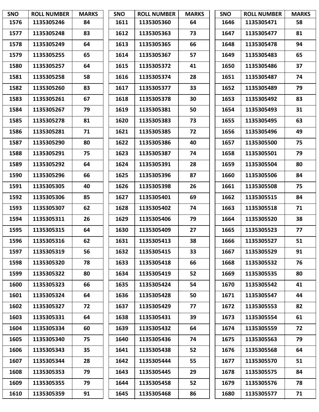| <b>SNO</b> | <b>ROLL NUMBER</b> | <b>MARKS</b> | <b>SNO</b> | <b>ROLL NUMBER</b> | <b>MARKS</b> | <b>SNO</b> | <b>ROLL NUMBER</b> | <b>MARKS</b> |
|------------|--------------------|--------------|------------|--------------------|--------------|------------|--------------------|--------------|
| 1576       | 1135305246         | 84           | 1611       | 1135305360         | 64           | 1646       | 1135305471         | 58           |
| 1577       | 1135305248         | 83           | 1612       | 1135305363         | 73           | 1647       | 1135305477         | 81           |
| 1578       | 1135305249         | 64           | 1613       | 1135305365         | 66           | 1648       | 1135305478         | 94           |
| 1579       | 1135305255         | 65           | 1614       | 1135305367         | 57           | 1649       | 1135305483         | 65           |
| 1580       | 1135305257         | 64           | 1615       | 1135305372         | 41           | 1650       | 1135305486         | 37           |
| 1581       | 1135305258         | 58           | 1616       | 1135305374         | 28           | 1651       | 1135305487         | 74           |
| 1582       | 1135305260         | 83           | 1617       | 1135305377         | 33           | 1652       | 1135305489         | 79           |
| 1583       | 1135305261         | 67           | 1618       | 1135305378         | 30           | 1653       | 1135305492         | 83           |
| 1584       | 1135305267         | 79           | 1619       | 1135305381         | 50           | 1654       | 1135305493         | 31           |
| 1585       | 1135305278         | 81           | 1620       | 1135305383         | 73           | 1655       | 1135305495         | 63           |
| 1586       | 1135305281         | 71           | 1621       | 1135305385         | 72           | 1656       | 1135305496         | 49           |
| 1587       | 1135305290         | 80           | 1622       | 1135305386         | 40           | 1657       | 1135305500         | 75           |
| 1588       | 1135305291         | 75           | 1623       | 1135305387         | 74           | 1658       | 1135305501         | 79           |
| 1589       | 1135305292         | 64           | 1624       | 1135305391         | 28           | 1659       | 1135305504         | 80           |
| 1590       | 1135305296         | 66           | 1625       | 1135305396         | 87           | 1660       | 1135305506         | 84           |
| 1591       | 1135305305         | 40           | 1626       | 1135305398         | 26           | 1661       | 1135305508         | 75           |
| 1592       | 1135305306         | 85           | 1627       | 1135305401         | 69           | 1662       | 1135305515         | 84           |
| 1593       | 1135305307         | 62           | 1628       | 1135305402         | 74           | 1663       | 1135305518         | 71           |
| 1594       | 1135305311         | 26           | 1629       | 1135305406         | 79           | 1664       | 1135305520         | 38           |
| 1595       | 1135305315         | 64           | 1630       | 1135305409         | 27           | 1665       | 1135305523         | 77           |
| 1596       | 1135305316         | 62           | 1631       | 1135305413         | 38           | 1666       | 1135305527         | 51           |
| 1597       | 1135305319         | 56           | 1632       | 1135305415         | 33           | 1667       | 1135305529         | 91           |
| 1598       | 1135305320         | 78           | 1633       | 1135305418         | 66           | 1668       | 1135305532         | 76           |
| 1599       | 1135305322         | 80           | 1634       | 1135305419         | 52           | 1669       | 1135305535         | 80           |
| 1600       | 1135305323         | 66           | 1635       | 1135305424         | 54           | 1670       | 1135305542         | 41           |
| 1601       | 1135305324         | 64           | 1636       | 1135305428         | 50           | 1671       | 1135305547         | 44           |
| 1602       | 1135305327         | 72           | 1637       | 1135305429         | 77           | 1672       | 1135305553         | 82           |
| 1603       | 1135305331         | 64           | 1638       | 1135305431         | 39           | 1673       | 1135305554         | 61           |
| 1604       | 1135305334         | 60           | 1639       | 1135305432         | 64           | 1674       | 1135305559         | 72           |
| 1605       | 1135305340         | 75           | 1640       | 1135305436         | 74           | 1675       | 1135305563         | 79           |
| 1606       | 1135305343         | 35           | 1641       | 1135305438         | 52           | 1676       | 1135305568         | 64           |
| 1607       | 1135305344         | 28           | 1642       | 1135305444         | 55           | 1677       | 1135305570         | 51           |
| 1608       | 1135305353         | 79           | 1643       | 1135305445         | 29           | 1678       | 1135305575         | 84           |
| 1609       | 1135305355         | 79           | 1644       | 1135305458         | 52           | 1679       | 1135305576         | 78           |
| 1610       | 1135305359         | 91           | 1645       | 1135305468         | 86           | 1680       | 1135305577         | 71           |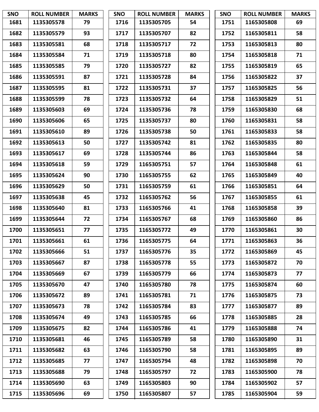| <b>SNO</b> | <b>ROLL NUMBER</b> | <b>MARKS</b> | <b>SNO</b> | <b>ROLL NUMBER</b> | <b>MARKS</b> | <b>SNO</b> | <b>ROLL NUMBER</b> | <b>MARKS</b> |
|------------|--------------------|--------------|------------|--------------------|--------------|------------|--------------------|--------------|
| 1681       | 1135305578         | 79           | 1716       | 1135305705         | 54           | 1751       | 1165305808         | 69           |
| 1682       | 1135305579         | 93           | 1717       | 1135305707         | 82           | 1752       | 1165305811         | 58           |
| 1683       | 1135305581         | 68           | 1718       | 1135305717         | 72           | 1753       | 1165305813         | 80           |
| 1684       | 1135305584         | 71           | 1719       | 1135305718         | 80           | 1754       | 1165305818         | 71           |
| 1685       | 1135305585         | 79           | 1720       | 1135305727         | 82           | 1755       | 1165305819         | 65           |
| 1686       | 1135305591         | 87           | 1721       | 1135305728         | 84           | 1756       | 1165305822         | 37           |
| 1687       | 1135305595         | 81           | 1722       | 1135305731         | 37           | 1757       | 1165305825         | 56           |
| 1688       | 1135305599         | 78           | 1723       | 1135305732         | 64           | 1758       | 1165305829         | 51           |
| 1689       | 1135305603         | 69           | 1724       | 1135305736         | 78           | 1759       | 1165305830         | 68           |
| 1690       | 1135305606         | 65           | 1725       | 1135305737         | 80           | 1760       | 1165305831         | 58           |
| 1691       | 1135305610         | 89           | 1726       | 1135305738         | 50           | 1761       | 1165305833         | 58           |
| 1692       | 1135305613         | 50           | 1727       | 1135305742         | 81           | 1762       | 1165305835         | 80           |
| 1693       | 1135305617         | 69           | 1728       | 1135305744         | 86           | 1763       | 1165305844         | 58           |
| 1694       | 1135305618         | 59           | 1729       | 1165305751         | 57           | 1764       | 1165305848         | 61           |
| 1695       | 1135305624         | 90           | 1730       | 1165305755         | 62           | 1765       | 1165305849         | 40           |
| 1696       | 1135305629         | 50           | 1731       | 1165305759         | 61           | 1766       | 1165305851         | 64           |
| 1697       | 1135305638         | 45           | 1732       | 1165305762         | 56           | 1767       | 1165305855         | 61           |
| 1698       | 1135305640         | 81           | 1733       | 1165305766         | 41           | 1768       | 1165305858         | 39           |
| 1699       | 1135305644         | 72           | 1734       | 1165305767         | 68           | 1769       | 1165305860         | 86           |
| 1700       | 1135305651         | 77           | 1735       | 1165305772         | 49           | 1770       | 1165305861         | 30           |
| 1701       | 1135305661         | 61           | 1736       | 1165305775         | 64           | 1771       | 1165305863         | 36           |
| 1702       | 1135305666         | 51           | 1737       | 1165305776         | 35           | 1772       | 1165305869         | 45           |
| 1703       | 1135305667         | 87           | 1738       | 1165305778         | 55           | 1773       | 1165305872         | 70           |
| 1704       | 1135305669         | 67           | 1739       | 1165305779         | 66           | 1774       | 1165305873         | 77           |
| 1705       | 1135305670         | 47           | 1740       | 1165305780         | 78           | 1775       | 1165305874         | 60           |
| 1706       | 1135305672         | 89           | 1741       | 1165305781         | 71           | 1776       | 1165305875         | 73           |
| 1707       | 1135305673         | 78           | 1742       | 1165305784         | 83           | 1777       | 1165305877         | 89           |
| 1708       | 1135305674         | 49           | 1743       | 1165305785         | 66           | 1778       | 1165305885         | 28           |
| 1709       | 1135305675         | 82           | 1744       | 1165305786         | 41           | 1779       | 1165305888         | 74           |
| 1710       | 1135305681         | 46           | 1745       | 1165305789         | 58           | 1780       | 1165305890         | 31           |
| 1711       | 1135305682         | 63           | 1746       | 1165305790         | 58           | 1781       | 1165305895         | 89           |
| 1712       | 1135305685         | 77           | 1747       | 1165305794         | 48           | 1782       | 1165305898         | 70           |
| 1713       | 1135305688         | 79           | 1748       | 1165305797         | 72           | 1783       | 1165305900         | 78           |
| 1714       | 1135305690         | 63           | 1749       | 1165305803         | 90           | 1784       | 1165305902         | 57           |
| 1715       | 1135305696         | 69           | 1750       | 1165305807         | 57           | 1785       | 1165305904         | 59           |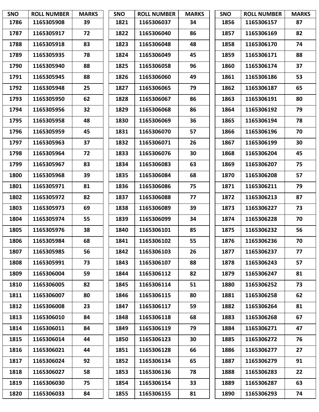| <b>SNO</b> | <b>ROLL NUMBER</b> | <b>MARKS</b> | <b>SNO</b> | <b>ROLL NUMBER</b> | <b>MARKS</b> | SNO  | <b>ROLL NUMBER</b> | <b>MARKS</b> |
|------------|--------------------|--------------|------------|--------------------|--------------|------|--------------------|--------------|
| 1786       | 1165305908         | 39           | 1821       | 1165306037         | 34           | 1856 | 1165306157         | 87           |
| 1787       | 1165305917         | 72           | 1822       | 1165306040         | 86           | 1857 | 1165306169         | 82           |
| 1788       | 1165305918         | 83           | 1823       | 1165306048         | 48           | 1858 | 1165306170         | 74           |
| 1789       | 1165305935         | 78           | 1824       | 1165306049         | 45           | 1859 | 1165306171         | 88           |
| 1790       | 1165305940         | 88           | 1825       | 1165306058         | 96           | 1860 | 1165306174         | 37           |
| 1791       | 1165305945         | 88           | 1826       | 1165306060         | 49           | 1861 | 1165306186         | 53           |
| 1792       | 1165305948         | 25           | 1827       | 1165306065         | 79           | 1862 | 1165306187         | 65           |
| 1793       | 1165305950         | 62           | 1828       | 1165306067         | 86           | 1863 | 1165306191         | 80           |
| 1794       | 1165305956         | 32           | 1829       | 1165306068         | 86           | 1864 | 1165306192         | 79           |
| 1795       | 1165305958         | 48           | 1830       | 1165306069         | 36           | 1865 | 1165306194         | 78           |
| 1796       | 1165305959         | 45           | 1831       | 1165306070         | 57           | 1866 | 1165306196         | 70           |
| 1797       | 1165305963         | 37           | 1832       | 1165306071         | 26           | 1867 | 1165306199         | 30           |
| 1798       | 1165305964         | 72           | 1833       | 1165306076         | 30           | 1868 | 1165306204         | 45           |
| 1799       | 1165305967         | 83           | 1834       | 1165306083         | 63           | 1869 | 1165306207         | 75           |
| 1800       | 1165305968         | 39           | 1835       | 1165306084         | 68           | 1870 | 1165306208         | 57           |
| 1801       | 1165305971         | 81           | 1836       | 1165306086         | 75           | 1871 | 1165306211         | 79           |
| 1802       | 1165305972         | 82           | 1837       | 1165306088         | 77           | 1872 | 1165306213         | 87           |
| 1803       | 1165305973         | 69           | 1838       | 1165306089         | 39           | 1873 | 1165306227         | 73           |
| 1804       | 1165305974         | 55           | 1839       | 1165306099         | 34           | 1874 | 1165306228         | 70           |
| 1805       | 1165305976         | 38           | 1840       | 1165306101         | 85           | 1875 | 1165306232         | 56           |
| 1806       | 1165305984         | 68           | 1841       | 1165306102         | 55           | 1876 | 1165306236         | 70           |
| 1807       | 1165305985         | 56           | 1842       | 1165306103         | 26           | 1877 | 1165306237         | 77           |
| 1808       | 1165305991         | 73           | 1843       | 1165306107         | 88           | 1878 | 1165306243         | 57           |
| 1809       | 1165306004         | 59           | 1844       | 1165306112         | 82           | 1879 | 1165306247         | 81           |
| 1810       | 1165306005         | 82           | 1845       | 1165306114         | 51           | 1880 | 1165306252         | 73           |
| 1811       | 1165306007         | 80           | 1846       | 1165306115         | 80           | 1881 | 1165306258         | 62           |
| 1812       | 1165306008         | 23           | 1847       | 1165306117         | 59           | 1882 | 1165306264         | 81           |
| 1813       | 1165306010         | 84           | 1848       | 1165306118         | 68           | 1883 | 1165306268         | 67           |
| 1814       | 1165306011         | 84           | 1849       | 1165306119         | 79           | 1884 | 1165306271         | 47           |
| 1815       | 1165306014         | 44           | 1850       | 1165306123         | 30           | 1885 | 1165306272         | 76           |
| 1816       | 1165306021         | 44           | 1851       | 1165306128         | 66           | 1886 | 1165306277         | 27           |
| 1817       | 1165306024         | 92           | 1852       | 1165306134         | 65           | 1887 | 1165306279         | 91           |
| 1818       | 1165306027         | 58           | 1853       | 1165306136         | 78           | 1888 | 1165306283         | 22           |
| 1819       | 1165306030         | 75           | 1854       | 1165306154         | 33           | 1889 | 1165306287         | 63           |
| 1820       | 1165306033         | 84           | 1855       | 1165306155         | 81           | 1890 | 1165306293         | 74           |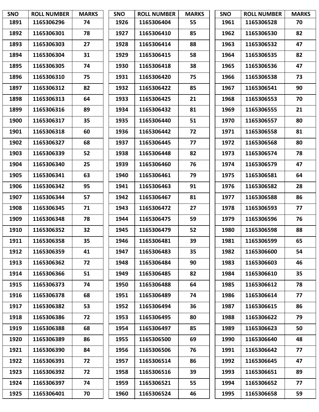| <b>SNO</b> | <b>ROLL NUMBER</b> | <b>MARKS</b> | <b>SNO</b> | <b>ROLL NUMBER</b> | <b>MARKS</b> | SNO  | <b>ROLL NUMBER</b> | <b>MARKS</b> |
|------------|--------------------|--------------|------------|--------------------|--------------|------|--------------------|--------------|
| 1891       | 1165306296         | 74           | 1926       | 1165306404         | 55           | 1961 | 1165306528         | 70           |
| 1892       | 1165306301         | 78           | 1927       | 1165306410         | 85           | 1962 | 1165306530         | 82           |
| 1893       | 1165306303         | 27           | 1928       | 1165306414         | 88           | 1963 | 1165306532         | 47           |
| 1894       | 1165306304         | 31           | 1929       | 1165306415         | 58           | 1964 | 1165306535         | 82           |
| 1895       | 1165306305         | 74           | 1930       | 1165306418         | 38           | 1965 | 1165306536         | 47           |
| 1896       | 1165306310         | 75           | 1931       | 1165306420         | 75           | 1966 | 1165306538         | 73           |
| 1897       | 1165306312         | 82           | 1932       | 1165306422         | 85           | 1967 | 1165306541         | 90           |
| 1898       | 1165306313         | 64           | 1933       | 1165306425         | 21           | 1968 | 1165306553         | 70           |
| 1899       | 1165306316         | 89           | 1934       | 1165306432         | 81           | 1969 | 1165306555         | 21           |
| 1900       | 1165306317         | 35           | 1935       | 1165306440         | 51           | 1970 | 1165306557         | 80           |
| 1901       | 1165306318         | 60           | 1936       | 1165306442         | 72           | 1971 | 1165306558         | 81           |
| 1902       | 1165306327         | 68           | 1937       | 1165306445         | 77           | 1972 | 1165306568         | 80           |
| 1903       | 1165306339         | 52           | 1938       | 1165306448         | 82           | 1973 | 1165306574         | 78           |
| 1904       | 1165306340         | 25           | 1939       | 1165306460         | 76           | 1974 | 1165306579         | 47           |
| 1905       | 1165306341         | 63           | 1940       | 1165306461         | 79           | 1975 | 1165306581         | 64           |
| 1906       | 1165306342         | 95           | 1941       | 1165306463         | 91           | 1976 | 1165306582         | 28           |
| 1907       | 1165306344         | 57           | 1942       | 1165306467         | 81           | 1977 | 1165306588         | 86           |
| 1908       | 1165306345         | 71           | 1943       | 1165306472         | 27           | 1978 | 1165306593         | 77           |
| 1909       | 1165306348         | 78           | 1944       | 1165306475         | 59           | 1979 | 1165306596         | 76           |
| 1910       | 1165306352         | 32           | 1945       | 1165306479         | 52           | 1980 | 1165306598         | 88           |
| 1911       | 1165306358         | 35           | 1946       | 1165306481         | 39           | 1981 | 1165306599         | 65           |
| 1912       | 1165306359         | 41           | 1947       | 1165306483         | 35           | 1982 | 1165306600         | 54           |
| 1913       | 1165306362         | 72           | 1948       | 1165306484         | 90           | 1983 | 1165306603         | 46           |
| 1914       | 1165306366         | 51           | 1949       | 1165306485         | 82           | 1984 | 1165306610         | 35           |
| 1915       | 1165306373         | 74           | 1950       | 1165306488         | 64           | 1985 | 1165306612         | 78           |
| 1916       | 1165306378         | 68           | 1951       | 1165306489         | 74           | 1986 | 1165306614         | 77           |
| 1917       | 1165306382         | 53           | 1952       | 1165306494         | 36           | 1987 | 1165306615         | 86           |
| 1918       | 1165306386         | 72           | 1953       | 1165306495         | 80           | 1988 | 1165306622         | 79           |
| 1919       | 1165306388         | 68           | 1954       | 1165306497         | 85           | 1989 | 1165306623         | 50           |
| 1920       | 1165306389         | 86           | 1955       | 1165306500         | 69           | 1990 | 1165306640         | 48           |
| 1921       | 1165306390         | 84           | 1956       | 1165306506         | 76           | 1991 | 1165306642         | 77           |
| 1922       | 1165306391         | 72           | 1957       | 1165306514         | 86           | 1992 | 1165306645         | 47           |
| 1923       | 1165306392         | 72           | 1958       | 1165306516         | 39           | 1993 | 1165306651         | 89           |
| 1924       | 1165306397         | 74           | 1959       | 1165306521         | 55           | 1994 | 1165306652         | 77           |
| 1925       | 1165306401         | 70           | 1960       | 1165306524         | 46           | 1995 | 1165306658         | 59           |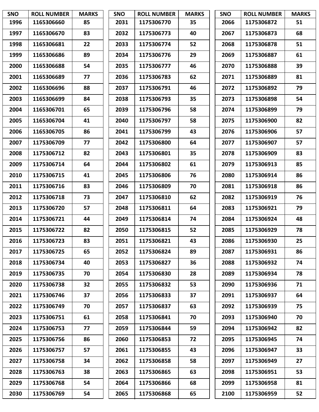| <b>SNO</b> | <b>ROLL NUMBER</b> | <b>MARKS</b> | <b>SNO</b> | <b>ROLL NUMBER</b> | <b>MARKS</b> | <b>SNO</b> | <b>ROLL NUMBER</b> | <b>MARKS</b> |
|------------|--------------------|--------------|------------|--------------------|--------------|------------|--------------------|--------------|
| 1996       | 1165306660         | 85           | 2031       | 1175306770         | 35           | 2066       | 1175306872         | 51           |
| 1997       | 1165306670         | 83           | 2032       | 1175306773         | 40           | 2067       | 1175306873         | 68           |
| 1998       | 1165306681         | 22           | 2033       | 1175306774         | 52           | 2068       | 1175306878         | 51           |
| 1999       | 1165306686         | 89           | 2034       | 1175306776         | 29           | 2069       | 1175306887         | 61           |
| 2000       | 1165306688         | 54           | 2035       | 1175306777         | 46           | 2070       | 1175306888         | 39           |
| 2001       | 1165306689         | 77           | 2036       | 1175306783         | 62           | 2071       | 1175306889         | 81           |
| 2002       | 1165306696         | 88           | 2037       | 1175306791         | 46           | 2072       | 1175306892         | 79           |
| 2003       | 1165306699         | 84           | 2038       | 1175306793         | 35           | 2073       | 1175306898         | 54           |
| 2004       | 1165306701         | 65           | 2039       | 1175306796         | 58           | 2074       | 1175306899         | 79           |
| 2005       | 1165306704         | 41           | 2040       | 1175306797         | 58           | 2075       | 1175306900         | 82           |
| 2006       | 1165306705         | 86           | 2041       | 1175306799         | 43           | 2076       | 1175306906         | 57           |
| 2007       | 1175306709         | 77           | 2042       | 1175306800         | 64           | 2077       | 1175306907         | 57           |
| 2008       | 1175306712         | 82           | 2043       | 1175306801         | 35           | 2078       | 1175306909         | 83           |
| 2009       | 1175306714         | 64           | 2044       | 1175306802         | 61           | 2079       | 1175306913         | 85           |
| 2010       | 1175306715         | 41           | 2045       | 1175306806         | 76           | 2080       | 1175306914         | 86           |
| 2011       | 1175306716         | 83           | 2046       | 1175306809         | 70           | 2081       | 1175306918         | 86           |
| 2012       | 1175306718         | 73           | 2047       | 1175306810         | 62           | 2082       | 1175306919         | 76           |
| 2013       | 1175306720         | 57           | 2048       | 1175306811         | 64           | 2083       | 1175306921         | 79           |
| 2014       | 1175306721         | 44           | 2049       | 1175306814         | 74           | 2084       | 1175306924         | 48           |
| 2015       | 1175306722         | 82           | 2050       | 1175306815         | 52           | 2085       | 1175306929         | 78           |
| 2016       | 1175306723         | 83           | 2051       | 1175306821         | 43           | 2086       | 1175306930         | 25           |
| 2017       | 1175306725         | 65           | 2052       | 1175306824         | 89           | 2087       | 1175306931         | 86           |
| 2018       | 1175306734         | 40           | 2053       | 1175306827         | 36           | 2088       | 1175306932         | 74           |
| 2019       | 1175306735         | 70           | 2054       | 1175306830         | 28           | 2089       | 1175306934         | 78           |
| 2020       | 1175306738         | 32           | 2055       | 1175306832         | 53           | 2090       | 1175306936         | 71           |
| 2021       | 1175306746         | 37           | 2056       | 1175306833         | 37           | 2091       | 1175306937         | 64           |
| 2022       | 1175306749         | 70           | 2057       | 1175306837         | 63           | 2092       | 1175306939         | 75           |
| 2023       | 1175306751         | 61           | 2058       | 1175306841         | 70           | 2093       | 1175306940         | 70           |
| 2024       | 1175306753         | 77           | 2059       | 1175306844         | 59           | 2094       | 1175306942         | 82           |
| 2025       | 1175306756         | 86           | 2060       | 1175306853         | 72           | 2095       | 1175306945         | 74           |
| 2026       | 1175306757         | 57           | 2061       | 1175306855         | 43           | 2096       | 1175306947         | 33           |
| 2027       | 1175306758         | 34           | 2062       | 1175306858         | 58           | 2097       | 1175306949         | 27           |
| 2028       | 1175306763         | 38           | 2063       | 1175306865         | 63           | 2098       | 1175306951         | 53           |
| 2029       | 1175306768         | 54           | 2064       | 1175306866         | 68           | 2099       | 1175306958         | 81           |
| 2030       | 1175306769         | 54           | 2065       | 1175306868         | 65           | 2100       | 1175306959         | 52           |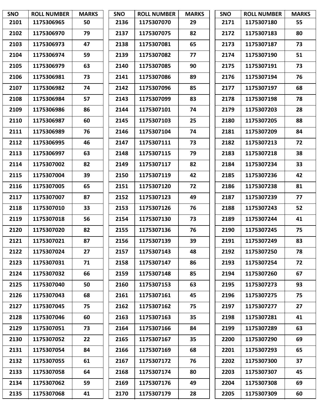| <b>SNO</b> | <b>ROLL NUMBER</b> | <b>MARKS</b> | <b>SNO</b> | <b>ROLL NUMBER</b> | <b>MARKS</b> | <b>SNO</b> | <b>ROLL NUMBER</b> | <b>MARKS</b> |
|------------|--------------------|--------------|------------|--------------------|--------------|------------|--------------------|--------------|
| 2101       | 1175306965         | 50           | 2136       | 1175307070         | 29           | 2171       | 1175307180         | 55           |
| 2102       | 1175306970         | 79           | 2137       | 1175307075         | 82           | 2172       | 1175307183         | 80           |
| 2103       | 1175306973         | 47           | 2138       | 1175307081         | 65           | 2173       | 1175307187         | 73           |
| 2104       | 1175306974         | 59           | 2139       | 1175307082         | 77           | 2174       | 1175307190         | 51           |
| 2105       | 1175306979         | 63           | 2140       | 1175307085         | 90           | 2175       | 1175307191         | 73           |
| 2106       | 1175306981         | 73           | 2141       | 1175307086         | 89           | 2176       | 1175307194         | 76           |
| 2107       | 1175306982         | 74           | 2142       | 1175307096         | 85           | 2177       | 1175307197         | 68           |
| 2108       | 1175306984         | 57           | 2143       | 1175307099         | 83           | 2178       | 1175307198         | 78           |
| 2109       | 1175306986         | 86           | 2144       | 1175307101         | 74           | 2179       | 1175307203         | 28           |
| 2110       | 1175306987         | 60           | 2145       | 1175307103         | 25           | 2180       | 1175307205         | 88           |
| 2111       | 1175306989         | 76           | 2146       | 1175307104         | 74           | 2181       | 1175307209         | 84           |
| 2112       | 1175306995         | 46           | 2147       | 1175307111         | 73           | 2182       | 1175307213         | 72           |
| 2113       | 1175306997         | 63           | 2148       | 1175307115         | 79           | 2183       | 1175307218         | 38           |
| 2114       | 1175307002         | 82           | 2149       | 1175307117         | 82           | 2184       | 1175307234         | 33           |
| 2115       | 1175307004         | 39           | 2150       | 1175307119         | 42           | 2185       | 1175307236         | 42           |
| 2116       | 1175307005         | 65           | 2151       | 1175307120         | 72           | 2186       | 1175307238         | 81           |
| 2117       | 1175307007         | 87           | 2152       | 1175307123         | 49           | 2187       | 1175307239         | 77           |
| 2118       | 1175307010         | 33           | 2153       | 1175307126         | 76           | 2188       | 1175307243         | 52           |
| 2119       | 1175307018         | 56           | 2154       | 1175307130         | 73           | 2189       | 1175307244         | 41           |
| 2120       | 1175307020         | 82           | 2155       | 1175307136         | 76           | 2190       | 1175307245         | 75           |
| 2121       | 1175307021         | 87           | 2156       | 1175307139         | 39           | 2191       | 1175307249         | 83           |
| 2122       | 1175307024         | 27           | 2157       | 1175307143         | 48           | 2192       | 1175307250         | 78           |
| 2123       | 1175307031         | 71           | 2158       | 1175307147         | 86           | 2193       | 1175307254         | 72           |
| 2124       | 1175307032         | 66           | 2159       | 1175307148         | 85           | 2194       | 1175307260         | 67           |
| 2125       | 1175307040         | 50           | 2160       | 1175307153         | 63           | 2195       | 1175307273         | 93           |
| 2126       | 1175307043         | 68           | 2161       | 1175307161         | 45           | 2196       | 1175307275         | 75           |
| 2127       | 1175307045         | 75           | 2162       | 1175307162         | 75           | 2197       | 1175307277         | 27           |
| 2128       | 1175307046         | 60           | 2163       | 1175307163         | 35           | 2198       | 1175307281         | 41           |
| 2129       | 1175307051         | 73           | 2164       | 1175307166         | 84           | 2199       | 1175307289         | 63           |
| 2130       | 1175307052         | 22           | 2165       | 1175307167         | 35           | 2200       | 1175307290         | 69           |
| 2131       | 1175307054         | 84           | 2166       | 1175307169         | 68           | 2201       | 1175307293         | 65           |
| 2132       | 1175307055         | 61           | 2167       | 1175307172         | 76           | 2202       | 1175307300         | 37           |
| 2133       | 1175307058         | 64           | 2168       | 1175307174         | 80           | 2203       | 1175307307         | 45           |
| 2134       | 1175307062         | 59           | 2169       | 1175307176         | 49           | 2204       | 1175307308         | 69           |
| 2135       | 1175307068         | 41           | 2170       | 1175307179         | 28           | 2205       | 1175307309         | 60           |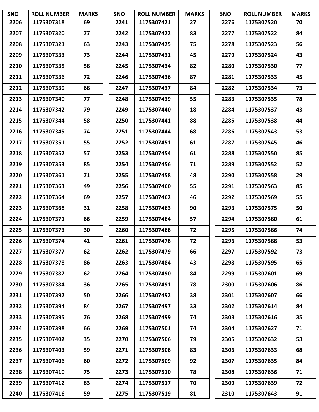| <b>SNO</b> | <b>ROLL NUMBER</b> | <b>MARKS</b> | <b>SNO</b> | <b>ROLL NUMBER</b> | <b>MARKS</b> | <b>SNO</b> | <b>ROLL NUMBER</b> | <b>MARKS</b> |
|------------|--------------------|--------------|------------|--------------------|--------------|------------|--------------------|--------------|
| 2206       | 1175307318         | 69           | 2241       | 1175307421         | 27           | 2276       | 1175307520         | 70           |
| 2207       | 1175307320         | 77           | 2242       | 1175307422         | 83           | 2277       | 1175307522         | 84           |
| 2208       | 1175307321         | 63           | 2243       | 1175307425         | 75           | 2278       | 1175307523         | 56           |
| 2209       | 1175307333         | 73           | 2244       | 1175307431         | 45           | 2279       | 1175307524         | 43           |
| 2210       | 1175307335         | 58           | 2245       | 1175307434         | 82           | 2280       | 1175307530         | 77           |
| 2211       | 1175307336         | 72           | 2246       | 1175307436         | 87           | 2281       | 1175307533         | 45           |
| 2212       | 1175307339         | 68           | 2247       | 1175307437         | 84           | 2282       | 1175307534         | 73           |
| 2213       | 1175307340         | 77           | 2248       | 1175307439         | 55           | 2283       | 1175307535         | 78           |
| 2214       | 1175307342         | 79           | 2249       | 1175307440         | 18           | 2284       | 1175307537         | 43           |
| 2215       | 1175307344         | 58           | 2250       | 1175307441         | 88           | 2285       | 1175307538         | 44           |
| 2216       | 1175307345         | 74           | 2251       | 1175307444         | 68           | 2286       | 1175307543         | 53           |
| 2217       | 1175307351         | 55           | 2252       | 1175307451         | 61           | 2287       | 1175307545         | 46           |
| 2218       | 1175307352         | 57           | 2253       | 1175307454         | 61           | 2288       | 1175307550         | 85           |
| 2219       | 1175307353         | 85           | 2254       | 1175307456         | 71           | 2289       | 1175307552         | 52           |
| 2220       | 1175307361         | 71           | 2255       | 1175307458         | 48           | 2290       | 1175307558         | 29           |
| 2221       | 1175307363         | 49           | 2256       | 1175307460         | 55           | 2291       | 1175307563         | 85           |
| 2222       | 1175307364         | 69           | 2257       | 1175307462         | 46           | 2292       | 1175307569         | 55           |
| 2223       | 1175307368         | 31           | 2258       | 1175307463         | 90           | 2293       | 1175307575         | 50           |
| 2224       | 1175307371         | 66           | 2259       | 1175307464         | 57           | 2294       | 1175307580         | 61           |
| 2225       | 1175307373         | 30           | 2260       | 1175307468         | 72           | 2295       | 1175307586         | 74           |
| 2226       | 1175307374         | 41           | 2261       | 1175307478         | 72           | 2296       | 1175307588         | 53           |
| 2227       | 1175307377         | 62           | 2262       | 1175307479         | 66           | 2297       | 1175307592         | 73           |
| 2228       | 1175307378         | 86           | 2263       | 1175307484         | 43           | 2298       | 1175307595         | 65           |
| 2229       | 1175307382         | 62           | 2264       | 1175307490         | 84           | 2299       | 1175307601         | 69           |
| 2230       | 1175307384         | 36           | 2265       | 1175307491         | 78           | 2300       | 1175307606         | 86           |
| 2231       | 1175307392         | 50           | 2266       | 1175307492         | 38           | 2301       | 1175307607         | 66           |
| 2232       | 1175307394         | 84           | 2267       | 1175307497         | 33           | 2302       | 1175307614         | 84           |
| 2233       | 1175307395         | 76           | 2268       | 1175307499         | 74           | 2303       | 1175307616         | 35           |
| 2234       | 1175307398         | 66           | 2269       | 1175307501         | 74           | 2304       | 1175307627         | 71           |
| 2235       | 1175307402         | 35           | 2270       | 1175307506         | 79           | 2305       | 1175307632         | 53           |
| 2236       | 1175307403         | 59           | 2271       | 1175307508         | 83           | 2306       | 1175307633         | 68           |
| 2237       | 1175307406         | 60           | 2272       | 1175307509         | 92           | 2307       | 1175307635         | 84           |
| 2238       | 1175307410         | 75           | 2273       | 1175307510         | 78           | 2308       | 1175307636         | 71           |
| 2239       | 1175307412         | 83           | 2274       | 1175307517         | 70           | 2309       | 1175307639         | 72           |
| 2240       | 1175307416         | 59           | 2275       | 1175307519         | 81           | 2310       | 1175307643         | 91           |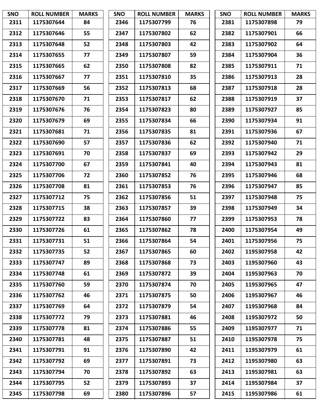| <b>SNO</b> | <b>ROLL NUMBER</b> | <b>MARKS</b> | <b>SNO</b> | <b>ROLL NUMBER</b> | <b>MARKS</b> | <b>SNO</b> | <b>ROLL NUMBER</b> | <b>MARKS</b> |
|------------|--------------------|--------------|------------|--------------------|--------------|------------|--------------------|--------------|
| 2311       | 1175307644         | 84           | 2346       | 1175307799         | 76           | 2381       | 1175307898         | 79           |
| 2312       | 1175307646         | 55           | 2347       | 1175307802         | 62           | 2382       | 1175307901         | 66           |
| 2313       | 1175307648         | 52           | 2348       | 1175307803         | 42           | 2383       | 1175307902         | 64           |
| 2314       | 1175307655         | 77           | 2349       | 1175307807         | 59           | 2384       | 1175307904         | 36           |
| 2315       | 1175307665         | 62           | 2350       | 1175307808         | 82           | 2385       | 1175307911         | 71           |
| 2316       | 1175307667         | 77           | 2351       | 1175307810         | 35           | 2386       | 1175307913         | 28           |
| 2317       | 1175307669         | 56           | 2352       | 1175307813         | 68           | 2387       | 1175307918         | 28           |
| 2318       | 1175307670         | 71           | 2353       | 1175307817         | 62           | 2388       | 1175307919         | 37           |
| 2319       | 1175307676         | 76           | 2354       | 1175307823         | 80           | 2389       | 1175307927         | 85           |
| 2320       | 1175307679         | 69           | 2355       | 1175307834         | 66           | 2390       | 1175307934         | 91           |
| 2321       | 1175307681         | 71           | 2356       | 1175307835         | 81           | 2391       | 1175307936         | 67           |
| 2322       | 1175307690         | 57           | 2357       | 1175307836         | 62           | 2392       | 1175307940         | 71           |
| 2323       | 1175307691         | 70           | 2358       | 1175307837         | 69           | 2393       | 1175307942         | 29           |
| 2324       | 1175307700         | 67           | 2359       | 1175307841         | 40           | 2394       | 1175307943         | 81           |
| 2325       | 1175307706         | 72           | 2360       | 1175307852         | 76           | 2395       | 1175307946         | 68           |
| 2326       | 1175307708         | 81           | 2361       | 1175307853         | 76           | 2396       | 1175307947         | 85           |
| 2327       | 1175307712         | 75           | 2362       | 1175307856         | 51           | 2397       | 1175307948         | 75           |
| 2328       | 1175307715         | 38           | 2363       | 1175307857         | 39           | 2398       | 1175307949         | 34           |
| 2329       | 1175307722         | 83           | 2364       | 1175307860         | 77           | 2399       | 1175307953         | 78           |
| 2330       | 1175307726         | 61           | 2365       | 1175307862         | 78           | 2400       | 1175307954         | 49           |
| 2331       | 1175307731         | 51           | 2366       | 1175307864         | 54           | 2401       | 1175307956         | 75           |
| 2332       | 1175307735         | 52           | 2367       | 1175307865         | 60           | 2402       | 1195307958         | 42           |
| 2333       | 1175307747         | 89           | 2368       | 1175307868         | 73           | 2403       | 1195307960         | 43           |
| 2334       | 1175307748         | 61           | 2369       | 1175307872         | 39           | 2404       | 1195307963         | 70           |
| 2335       | 1175307760         | 59           | 2370       | 1175307874         | 70           | 2405       | 1195307965         | 47           |
| 2336       | 1175307762         | 46           | 2371       | 1175307875         | 50           | 2406       | 1195307967         | 46           |
| 2337       | 1175307769         | 64           | 2372       | 1175307879         | 54           | 2407       | 1195307968         | 84           |
| 2338       | 1175307772         | 79           | 2373       | 1175307881         | 46           | 2408       | 1195307972         | 50           |
| 2339       | 1175307778         | 81           | 2374       | 1175307886         | 55           | 2409       | 1195307977         | 71           |
| 2340       | 1175307781         | 48           | 2375       | 1175307887         | 51           | 2410       | 1195307978         | 75           |
| 2341       | 1175307791         | 91           | 2376       | 1175307890         | 42           | 2411       | 1195307979         | 61           |
| 2342       | 1175307792         | 69           | 2377       | 1175307891         | 73           | 2412       | 1195307980         | 63           |
| 2343       | 1175307794         | 70           | 2378       | 1175307892         | 63           | 2413       | 1195307981         | 63           |
| 2344       | 1175307795         | 52           | 2379       | 1175307893         | 37           | 2414       | 1195307984         | 37           |
| 2345       | 1175307798         | 69           | 2380       | 1175307896         | 57           | 2415       | 1195307986         | 61           |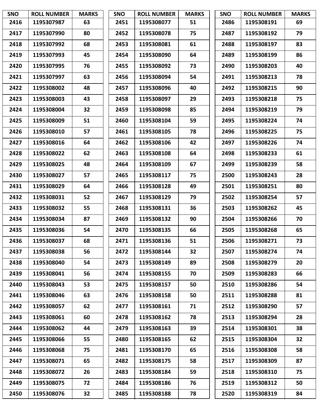| <b>SNO</b> | <b>ROLL NUMBER</b> | <b>MARKS</b> | <b>SNO</b> | <b>ROLL NUMBER</b> | <b>MARKS</b> | <b>SNO</b> | <b>ROLL NUMBER</b> | <b>MARKS</b> |
|------------|--------------------|--------------|------------|--------------------|--------------|------------|--------------------|--------------|
| 2416       | 1195307987         | 63           | 2451       | 1195308077         | 51           | 2486       | 1195308191         | 69           |
| 2417       | 1195307990         | 80           | 2452       | 1195308078         | 75           | 2487       | 1195308192         | 79           |
| 2418       | 1195307992         | 68           | 2453       | 1195308081         | 61           | 2488       | 1195308197         | 83           |
| 2419       | 1195307993         | 45           | 2454       | 1195308090         | 64           | 2489       | 1195308199         | 86           |
| 2420       | 1195307995         | 76           | 2455       | 1195308092         | 73           | 2490       | 1195308203         | 40           |
| 2421       | 1195307997         | 63           | 2456       | 1195308094         | 54           | 2491       | 1195308213         | 78           |
| 2422       | 1195308002         | 48           | 2457       | 1195308096         | 40           | 2492       | 1195308215         | 90           |
| 2423       | 1195308003         | 43           | 2458       | 1195308097         | 29           | 2493       | 1195308218         | 75           |
| 2424       | 1195308004         | 32           | 2459       | 1195308098         | 85           | 2494       | 1195308219         | 79           |
| 2425       | 1195308009         | 51           | 2460       | 1195308104         | 59           | 2495       | 1195308224         | 74           |
| 2426       | 1195308010         | 57           | 2461       | 1195308105         | 78           | 2496       | 1195308225         | 75           |
| 2427       | 1195308016         | 64           | 2462       | 1195308106         | 42           | 2497       | 1195308226         | 74           |
| 2428       | 1195308022         | 62           | 2463       | 1195308108         | 64           | 2498       | 1195308233         | 61           |
| 2429       | 1195308025         | 48           | 2464       | 1195308109         | 67           | 2499       | 1195308239         | 58           |
| 2430       | 1195308027         | 57           | 2465       | 1195308117         | 75           | 2500       | 1195308243         | 28           |
| 2431       | 1195308029         | 64           | 2466       | 1195308128         | 49           | 2501       | 1195308251         | 80           |
| 2432       | 1195308031         | 52           | 2467       | 1195308129         | 79           | 2502       | 1195308254         | 57           |
| 2433       | 1195308032         | 55           | 2468       | 1195308131         | 36           | 2503       | 1195308262         | 45           |
| 2434       | 1195308034         | 87           | 2469       | 1195308132         | 90           | 2504       | 1195308266         | 70           |
| 2435       | 1195308036         | 54           | 2470       | 1195308135         | 66           | 2505       | 1195308268         | 65           |
| 2436       | 1195308037         | 68           | 2471       | 1195308136         | 51           | 2506       | 1195308271         | 73           |
| 2437       | 1195308038         | 56           | 2472       | 1195308144         | 32           | 2507       | 1195308274         | 74           |
| 2438       | 1195308040         | 54           | 2473       | 1195308149         | 89           | 2508       | 1195308279         | 20           |
| 2439       | 1195308041         | 56           | 2474       | 1195308155         | 70           | 2509       | 1195308283         | 66           |
| 2440       | 1195308043         | 53           | 2475       | 1195308157         | 50           | 2510       | 1195308286         | 54           |
| 2441       | 1195308046         | 63           | 2476       | 1195308158         | 50           | 2511       | 1195308288         | 81           |
| 2442       | 1195308057         | 62           | 2477       | 1195308161         | 71           | 2512       | 1195308290         | 57           |
| 2443       | 1195308061         | 60           | 2478       | 1195308162         | 78           | 2513       | 1195308294         | 28           |
| 2444       | 1195308062         | 44           | 2479       | 1195308163         | 39           | 2514       | 1195308301         | 38           |
| 2445       | 1195308066         | 55           | 2480       | 1195308165         | 62           | 2515       | 1195308304         | 32           |
| 2446       | 1195308068         | 75           | 2481       | 1195308170         | 65           | 2516       | 1195308308         | 58           |
| 2447       | 1195308071         | 65           | 2482       | 1195308175         | 58           | 2517       | 1195308309         | 87           |
| 2448       | 1195308072         | 26           | 2483       | 1195308184         | 59           | 2518       | 1195308310         | 75           |
| 2449       | 1195308075         | 72           | 2484       | 1195308186         | 76           | 2519       | 1195308312         | 50           |
| 2450       | 1195308076         | 32           | 2485       | 1195308188         | 78           | 2520       | 1195308319         | 84           |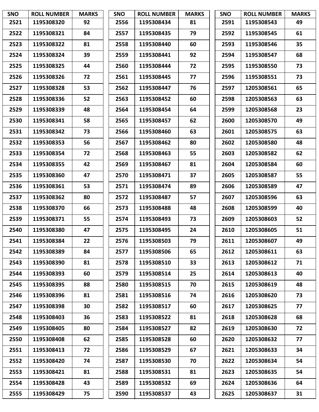| <b>SNO</b> | <b>ROLL NUMBER</b> | <b>MARKS</b> | <b>SNO</b> | <b>ROLL NUMBER</b> | <b>MARKS</b> | <b>SNO</b> | <b>ROLL NUMBER</b> | <b>MARKS</b> |
|------------|--------------------|--------------|------------|--------------------|--------------|------------|--------------------|--------------|
| 2521       | 1195308320         | 92           | 2556       | 1195308434         | 81           | 2591       | 1195308543         | 49           |
| 2522       | 1195308321         | 84           | 2557       | 1195308435         | 79           | 2592       | 1195308545         | 61           |
| 2523       | 1195308322         | 81           | 2558       | 1195308440         | 60           | 2593       | 1195308546         | 35           |
| 2524       | 1195308324         | 39           | 2559       | 1195308441         | 92           | 2594       | 1195308547         | 68           |
| 2525       | 1195308325         | 44           | 2560       | 1195308444         | 72           | 2595       | 1195308550         | 73           |
| 2526       | 1195308326         | 72           | 2561       | 1195308445         | 77           | 2596       | 1195308551         | 73           |
| 2527       | 1195308328         | 53           | 2562       | 1195308447         | 76           | 2597       | 1205308561         | 65           |
| 2528       | 1195308336         | 52           | 2563       | 1195308452         | 60           | 2598       | 1205308563         | 63           |
| 2529       | 1195308339         | 48           | 2564       | 1195308454         | 64           | 2599       | 1205308568         | 23           |
| 2530       | 1195308341         | 58           | 2565       | 1195308457         | 62           | 2600       | 1205308570         | 49           |
| 2531       | 1195308342         | 73           | 2566       | 1195308460         | 63           | 2601       | 1205308575         | 63           |
| 2532       | 1195308353         | 56           | 2567       | 1195308462         | 80           | 2602       | 1205308580         | 48           |
| 2533       | 1195308354         | 72           | 2568       | 1195308463         | 55           | 2603       | 1205308582         | 62           |
| 2534       | 1195308355         | 42           | 2569       | 1195308467         | 81           | 2604       | 1205308584         | 60           |
| 2535       | 1195308360         | 47           | 2570       | 1195308471         | 37           | 2605       | 1205308587         | 55           |
| 2536       | 1195308361         | 53           | 2571       | 1195308474         | 89           | 2606       | 1205308589         | 47           |
| 2537       | 1195308362         | 80           | 2572       | 1195308487         | 57           | 2607       | 1205308596         | 63           |
| 2538       | 1195308370         | 66           | 2573       | 1195308488         | 48           | 2608       | 1205308599         | 40           |
| 2539       | 1195308371         | 55           | 2574       | 1195308493         | 73           | 2609       | 1205308603         | 52           |
| 2540       | 1195308380         | 47           | 2575       | 1195308495         | 24           | 2610       | 1205308605         | 51           |
| 2541       | 1195308384         | 22           | 2576       | 1195308503         | 79           | 2611       | 1205308607         | 49           |
| 2542       | 1195308389         | 84           | 2577       | 1195308506         | 65           | 2612       | 1205308611         | 63           |
| 2543       | 1195308390         | 81           | 2578       | 1195308510         | 33           | 2613       | 1205308612         | 71           |
| 2544       | 1195308393         | 60           | 2579       | 1195308514         | 25           | 2614       | 1205308613         | 40           |
| 2545       | 1195308395         | 88           | 2580       | 1195308515         | 70           | 2615       | 1205308619         | 48           |
| 2546       | 1195308396         | 81           | 2581       | 1195308516         | 74           | 2616       | 1205308620         | 73           |
| 2547       | 1195308398         | 30           | 2582       | 1195308517         | 60           | 2617       | 1205308625         | 77           |
| 2548       | 1195308403         | 36           | 2583       | 1195308522         | 81           | 2618       | 1205308628         | 68           |
| 2549       | 1195308405         | 80           | 2584       | 1195308527         | 82           | 2619       | 1205308630         | 72           |
| 2550       | 1195308408         | 62           | 2585       | 1195308528         | 60           | 2620       | 1205308632         | 77           |
| 2551       | 1195308413         | 72           | 2586       | 1195308529         | 67           | 2621       | 1205308633         | 34           |
| 2552       | 1195308420         | 74           | 2587       | 1195308530         | 70           | 2622       | 1205308634         | 54           |
| 2553       | 1195308421         | 81           | 2588       | 1195308531         | 81           | 2623       | 1205308635         | 54           |
| 2554       | 1195308428         | 43           | 2589       | 1195308532         | 69           | 2624       | 1205308636         | 64           |
| 2555       | 1195308429         | 75           | 2590       | 1195308537         | 43           | 2625       | 1205308637         | 31           |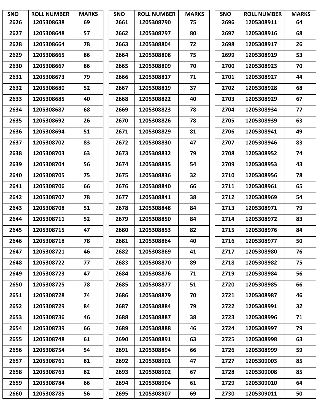| <b>SNO</b> | <b>ROLL NUMBER</b> | <b>MARKS</b> | <b>SNO</b> | <b>ROLL NUMBER</b> | <b>MARKS</b> | <b>SNO</b> | <b>ROLL NUMBER</b> | <b>MARKS</b> |
|------------|--------------------|--------------|------------|--------------------|--------------|------------|--------------------|--------------|
| 2626       | 1205308638         | 69           | 2661       | 1205308790         | 75           | 2696       | 1205308911         | 64           |
| 2627       | 1205308648         | 57           | 2662       | 1205308797         | 80           | 2697       | 1205308916         | 68           |
| 2628       | 1205308664         | 78           | 2663       | 1205308804         | 72           | 2698       | 1205308917         | 26           |
| 2629       | 1205308665         | 86           | 2664       | 1205308808         | 75           | 2699       | 1205308919         | 53           |
| 2630       | 1205308667         | 86           | 2665       | 1205308809         | 70           | 2700       | 1205308923         | 70           |
| 2631       | 1205308673         | 79           | 2666       | 1205308817         | 71           | 2701       | 1205308927         | 44           |
| 2632       | 1205308680         | 52           | 2667       | 1205308819         | 37           | 2702       | 1205308928         | 68           |
| 2633       | 1205308685         | 40           | 2668       | 1205308822         | 40           | 2703       | 1205308929         | 67           |
| 2634       | 1205308687         | 68           | 2669       | 1205308823         | 78           | 2704       | 1205308934         | 77           |
| 2635       | 1205308692         | 26           | 2670       | 1205308826         | 78           | 2705       | 1205308939         | 63           |
| 2636       | 1205308694         | 51           | 2671       | 1205308829         | 81           | 2706       | 1205308941         | 49           |
| 2637       | 1205308702         | 83           | 2672       | 1205308830         | 47           | 2707       | 1205308946         | 83           |
| 2638       | 1205308703         | 63           | 2673       | 1205308832         | 79           | 2708       | 1205308952         | 74           |
| 2639       | 1205308704         | 56           | 2674       | 1205308835         | 54           | 2709       | 1205308953         | 43           |
| 2640       | 1205308705         | 75           | 2675       | 1205308836         | 32           | 2710       | 1205308956         | 78           |
| 2641       | 1205308706         | 66           | 2676       | 1205308840         | 66           | 2711       | 1205308961         | 65           |
| 2642       | 1205308707         | 78           | 2677       | 1205308841         | 38           | 2712       | 1205308969         | 54           |
| 2643       | 1205308708         | 51           | 2678       | 1205308848         | 84           | 2713       | 1205308971         | 79           |
| 2644       | 1205308711         | 52           | 2679       | 1205308850         | 84           | 2714       | 1205308972         | 83           |
| 2645       | 1205308715         | 47           | 2680       | 1205308853         | 82           | 2715       | 1205308976         | 84           |
| 2646       | 1205308718         | 78           | 2681       | 1205308864         | 40           | 2716       | 1205308977         | 50           |
| 2647       | 1205308721         | 46           | 2682       | 1205308869         | 41           | 2717       | 1205308980         | 76           |
| 2648       | 1205308722         | 77           | 2683       | 1205308870         | 89           | 2718       | 1205308982         | 75           |
| 2649       | 1205308723         | 47           | 2684       | 1205308876         | 71           | 2719       | 1205308984         | 56           |
| 2650       | 1205308725         | 78           | 2685       | 1205308877         | 51           | 2720       | 1205308985         | 66           |
| 2651       | 1205308728         | 74           | 2686       | 1205308879         | 70           | 2721       | 1205308987         | 46           |
| 2652       | 1205308729         | 84           | 2687       | 1205308884         | 79           | 2722       | 1205308991         | 32           |
| 2653       | 1205308736         | 46           | 2688       | 1205308887         | 38           | 2723       | 1205308996         | 71           |
| 2654       | 1205308739         | 66           | 2689       | 1205308888         | 46           | 2724       | 1205308997         | 79           |
| 2655       | 1205308748         | 61           | 2690       | 1205308891         | 63           | 2725       | 1205308998         | 63           |
| 2656       | 1205308754         | 54           | 2691       | 1205308894         | 66           | 2726       | 1205308999         | 59           |
| 2657       | 1205308761         | 81           | 2692       | 1205308901         | 47           | 2727       | 1205309003         | 85           |
| 2658       | 1205308763         | 82           | 2693       | 1205308902         | 67           | 2728       | 1205309008         | 85           |
| 2659       | 1205308784         | 66           | 2694       | 1205308904         | 61           | 2729       | 1205309010         | 64           |
| 2660       | 1205308785         | 56           | 2695       | 1205308907         | 69           | 2730       | 1205309011         | 50           |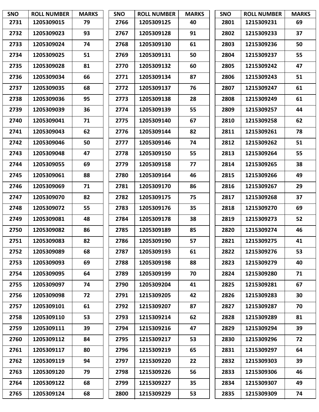| <b>SNO</b> | <b>ROLL NUMBER</b> | <b>MARKS</b> | <b>SNO</b> | <b>ROLL NUMBER</b> | <b>MARKS</b> | <b>SNO</b> | <b>ROLL NUMBER</b> | <b>MARKS</b> |
|------------|--------------------|--------------|------------|--------------------|--------------|------------|--------------------|--------------|
| 2731       | 1205309015         | 79           | 2766       | 1205309125         | 40           | 2801       | 1215309231         | 69           |
| 2732       | 1205309023         | 93           | 2767       | 1205309128         | 91           | 2802       | 1215309233         | 37           |
| 2733       | 1205309024         | 74           | 2768       | 1205309130         | 61           | 2803       | 1215309236         | 50           |
| 2734       | 1205309025         | 51           | 2769       | 1205309131         | 50           | 2804       | 1215309237         | 55           |
| 2735       | 1205309028         | 81           | 2770       | 1205309132         | 60           | 2805       | 1215309242         | 47           |
| 2736       | 1205309034         | 66           | 2771       | 1205309134         | 87           | 2806       | 1215309243         | 51           |
| 2737       | 1205309035         | 68           | 2772       | 1205309137         | 76           | 2807       | 1215309247         | 61           |
| 2738       | 1205309036         | 95           | 2773       | 1205309138         | 28           | 2808       | 1215309249         | 61           |
| 2739       | 1205309039         | 36           | 2774       | 1205309139         | 55           | 2809       | 1215309257         | 44           |
| 2740       | 1205309041         | 71           | 2775       | 1205309140         | 67           | 2810       | 1215309258         | 62           |
| 2741       | 1205309043         | 62           | 2776       | 1205309144         | 82           | 2811       | 1215309261         | 78           |
| 2742       | 1205309046         | 50           | 2777       | 1205309146         | 74           | 2812       | 1215309262         | 51           |
| 2743       | 1205309048         | 47           | 2778       | 1205309150         | 55           | 2813       | 1215309264         | 55           |
| 2744       | 1205309055         | 69           | 2779       | 1205309158         | 77           | 2814       | 1215309265         | 38           |
| 2745       | 1205309061         | 88           | 2780       | 1205309164         | 46           | 2815       | 1215309266         | 49           |
| 2746       | 1205309069         | 71           | 2781       | 1205309170         | 86           | 2816       | 1215309267         | 29           |
| 2747       | 1205309070         | 82           | 2782       | 1205309175         | 75           | 2817       | 1215309268         | 37           |
| 2748       | 1205309072         | 55           | 2783       | 1205309176         | 35           | 2818       | 1215309270         | 69           |
| 2749       | 1205309081         | 48           | 2784       | 1205309178         | 38           | 2819       | 1215309273         | 52           |
| 2750       | 1205309082         | 86           | 2785       | 1205309189         | 85           | 2820       | 1215309274         | 46           |
| 2751       | 1205309083         | 82           | 2786       | 1205309190         | 57           | 2821       | 1215309275         | 41           |
| 2752       | 1205309089         | 68           | 2787       | 1205309193         | 61           | 2822       | 1215309276         | 53           |
| 2753       | 1205309093         | 69           | 2788       | 1205309198         | 88           | 2823       | 1215309279         | 40           |
| 2754       | 1205309095         | 64           | 2789       | 1205309199         | 70           | 2824       | 1215309280         | 71           |
| 2755       | 1205309097         | 74           | 2790       | 1205309204         | 41           | 2825       | 1215309281         | 67           |
| 2756       | 1205309098         | 72           | 2791       | 1215309205         | 42           | 2826       | 1215309283         | 30           |
| 2757       | 1205309101         | 61           | 2792       | 1215309207         | 87           | 2827       | 1215309287         | 70           |
| 2758       | 1205309110         | 53           | 2793       | 1215309214         | 62           | 2828       | 1215309289         | 81           |
| 2759       | 1205309111         | 39           | 2794       | 1215309216         | 47           | 2829       | 1215309294         | 39           |
| 2760       | 1205309112         | 84           | 2795       | 1215309217         | 53           | 2830       | 1215309296         | 72           |
| 2761       | 1205309117         | 80           | 2796       | 1215309219         | 65           | 2831       | 1215309297         | 64           |
| 2762       | 1205309119         | 94           | 2797       | 1215309220         | 22           | 2832       | 1215309303         | 39           |
| 2763       | 1205309120         | 79           | 2798       | 1215309226         | 56           | 2833       | 1215309306         | 46           |
| 2764       | 1205309122         | 68           | 2799       | 1215309227         | 35           | 2834       | 1215309307         | 49           |
| 2765       | 1205309124         | 68           | 2800       | 1215309229         | 53           | 2835       | 1215309309         | 74           |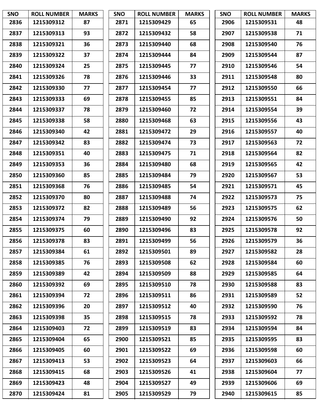| <b>SNO</b> | <b>ROLL NUMBER</b> | <b>MARKS</b> | <b>SNO</b> | <b>ROLL NUMBER</b> | <b>MARKS</b> | <b>SNO</b> | <b>ROLL NUMBER</b> | <b>MARKS</b> |
|------------|--------------------|--------------|------------|--------------------|--------------|------------|--------------------|--------------|
| 2836       | 1215309312         | 87           | 2871       | 1215309429         | 65           | 2906       | 1215309531         | 48           |
| 2837       | 1215309313         | 93           | 2872       | 1215309432         | 58           | 2907       | 1215309538         | 71           |
| 2838       | 1215309321         | 36           | 2873       | 1215309440         | 68           | 2908       | 1215309540         | 76           |
| 2839       | 1215309322         | 37           | 2874       | 1215309444         | 84           | 2909       | 1215309544         | 87           |
| 2840       | 1215309324         | 25           | 2875       | 1215309445         | 77           | 2910       | 1215309546         | 54           |
| 2841       | 1215309326         | 78           | 2876       | 1215309446         | 33           | 2911       | 1215309548         | 80           |
| 2842       | 1215309330         | 77           | 2877       | 1215309454         | 77           | 2912       | 1215309550         | 66           |
| 2843       | 1215309333         | 69           | 2878       | 1215309455         | 85           | 2913       | 1215309551         | 84           |
| 2844       | 1215309337         | 78           | 2879       | 1215309460         | 72           | 2914       | 1215309554         | 39           |
| 2845       | 1215309338         | 58           | 2880       | 1215309468         | 63           | 2915       | 1215309556         | 43           |
| 2846       | 1215309340         | 42           | 2881       | 1215309472         | 29           | 2916       | 1215309557         | 40           |
| 2847       | 1215309342         | 83           | 2882       | 1215309474         | 73           | 2917       | 1215309563         | 72           |
| 2848       | 1215309351         | 40           | 2883       | 1215309475         | 71           | 2918       | 1215309564         | 82           |
| 2849       | 1215309353         | 36           | 2884       | 1215309480         | 68           | 2919       | 1215309565         | 42           |
| 2850       | 1215309360         | 85           | 2885       | 1215309484         | 79           | 2920       | 1215309567         | 53           |
| 2851       | 1215309368         | 76           | 2886       | 1215309485         | 54           | 2921       | 1215309571         | 45           |
| 2852       | 1215309370         | 80           | 2887       | 1215309488         | 74           | 2922       | 1215309573         | 75           |
| 2853       | 1215309372         | 82           | 2888       | 1215309489         | 56           | 2923       | 1215309575         | 62           |
| 2854       | 1215309374         | 79           | 2889       | 1215309490         | 92           | 2924       | 1215309576         | 50           |
| 2855       | 1215309375         | 60           | 2890       | 1215309496         | 83           | 2925       | 1215309578         | 92           |
| 2856       | 1215309378         | 83           | 2891       | 1215309499         | 56           | 2926       | 1215309579         | 36           |
| 2857       | 1215309384         | 61           | 2892       | 1215309501         | 89           | 2927       | 1215309582         | 28           |
| 2858       | 1215309385         | 76           | 2893       | 1215309508         | 62           | 2928       | 1215309584         | 60           |
| 2859       | 1215309389         | 42           | 2894       | 1215309509         | 88           | 2929       | 1215309585         | 64           |
| 2860       | 1215309392         | 69           | 2895       | 1215309510         | 78           | 2930       | 1215309588         | 83           |
| 2861       | 1215309394         | 72           | 2896       | 1215309511         | 86           | 2931       | 1215309589         | 52           |
| 2862       | 1215309396         | 20           | 2897       | 1215309512         | 40           | 2932       | 1215309590         | 76           |
| 2863       | 1215309398         | 35           | 2898       | 1215309515         | 78           | 2933       | 1215309592         | 78           |
| 2864       | 1215309403         | 72           | 2899       | 1215309519         | 83           | 2934       | 1215309594         | 84           |
| 2865       | 1215309404         | 65           | 2900       | 1215309521         | 85           | 2935       | 1215309595         | 83           |
| 2866       | 1215309405         | 60           | 2901       | 1215309522         | 69           | 2936       | 1215309598         | 60           |
| 2867       | 1215309413         | 53           | 2902       | 1215309523         | 64           | 2937       | 1215309603         | 66           |
| 2868       | 1215309415         | 68           | 2903       | 1215309526         | 41           | 2938       | 1215309604         | 77           |
| 2869       | 1215309423         | 48           | 2904       | 1215309527         | 49           | 2939       | 1215309606         | 69           |
| 2870       | 1215309424         | 81           | 2905       | 1215309529         | 79           | 2940       | 1215309615         | 85           |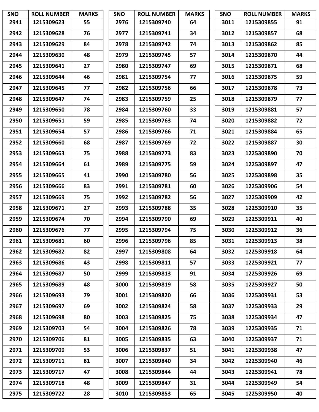| <b>SNO</b> | <b>ROLL NUMBER</b> | <b>MARKS</b> | <b>SNO</b> | <b>ROLL NUMBER</b> | <b>MARKS</b> | <b>SNO</b> | <b>ROLL NUMBER</b> | <b>MARKS</b> |
|------------|--------------------|--------------|------------|--------------------|--------------|------------|--------------------|--------------|
| 2941       | 1215309623         | 55           | 2976       | 1215309740         | 64           | 3011       | 1215309855         | 91           |
| 2942       | 1215309628         | 76           | 2977       | 1215309741         | 34           | 3012       | 1215309857         | 68           |
| 2943       | 1215309629         | 84           | 2978       | 1215309742         | 74           | 3013       | 1215309862         | 85           |
| 2944       | 1215309630         | 48           | 2979       | 1215309745         | 57           | 3014       | 1215309870         | 44           |
| 2945       | 1215309641         | 27           | 2980       | 1215309747         | 69           | 3015       | 1215309871         | 68           |
| 2946       | 1215309644         | 46           | 2981       | 1215309754         | 77           | 3016       | 1215309875         | 59           |
| 2947       | 1215309645         | 77           | 2982       | 1215309756         | 66           | 3017       | 1215309878         | 73           |
| 2948       | 1215309647         | 74           | 2983       | 1215309759         | 25           | 3018       | 1215309879         | 77           |
| 2949       | 1215309650         | 78           | 2984       | 1215309760         | 33           | 3019       | 1215309881         | 57           |
| 2950       | 1215309651         | 59           | 2985       | 1215309763         | 74           | 3020       | 1215309882         | 72           |
| 2951       | 1215309654         | 57           | 2986       | 1215309766         | 71           | 3021       | 1215309884         | 65           |
| 2952       | 1215309660         | 68           | 2987       | 1215309769         | 72           | 3022       | 1215309887         | 30           |
| 2953       | 1215309663         | 75           | 2988       | 1215309773         | 83           | 3023       | 1225309890         | 70           |
| 2954       | 1215309664         | 61           | 2989       | 1215309775         | 59           | 3024       | 1225309897         | 47           |
| 2955       | 1215309665         | 41           | 2990       | 1215309780         | 56           | 3025       | 1225309898         | 35           |
| 2956       | 1215309666         | 83           | 2991       | 1215309781         | 60           | 3026       | 1225309906         | 54           |
| 2957       | 1215309669         | 75           | 2992       | 1215309782         | 56           | 3027       | 1225309909         | 42           |
| 2958       | 1215309671         | 27           | 2993       | 1215309788         | 35           | 3028       | 1225309910         | 35           |
| 2959       | 1215309674         | 70           | 2994       | 1215309790         | 69           | 3029       | 1225309911         | 40           |
| 2960       | 1215309676         | 77           | 2995       | 1215309794         | 75           | 3030       | 1225309912         | 36           |
| 2961       | 1215309681         | 60           | 2996       | 1215309796         | 85           | 3031       | 1225309913         | 38           |
| 2962       | 1215309682         | 82           | 2997       | 1215309808         | 64           | 3032       | 1225309918         | 64           |
| 2963       | 1215309686         | 43           | 2998       | 1215309811         | 57           | 3033       | 1225309921         | 77           |
| 2964       | 1215309687         | 50           | 2999       | 1215309813         | 91           | 3034       | 1225309926         | 69           |
| 2965       | 1215309689         | 48           | 3000       | 1215309819         | 58           | 3035       | 1225309927         | 50           |
| 2966       | 1215309693         | 79           | 3001       | 1215309820         | 66           | 3036       | 1225309931         | 53           |
| 2967       | 1215309697         | 69           | 3002       | 1215309824         | 58           | 3037       | 1225309933         | 29           |
| 2968       | 1215309698         | 80           | 3003       | 1215309825         | 75           | 3038       | 1225309934         | 47           |
| 2969       | 1215309703         | 54           | 3004       | 1215309826         | 78           | 3039       | 1225309935         | 71           |
| 2970       | 1215309706         | 81           | 3005       | 1215309835         | 63           | 3040       | 1225309937         | 71           |
| 2971       | 1215309709         | 53           | 3006       | 1215309837         | 51           | 3041       | 1225309938         | 47           |
| 2972       | 1215309711         | 81           | 3007       | 1215309840         | 34           | 3042       | 1225309940         | 46           |
| 2973       | 1215309717         | 47           | 3008       | 1215309844         | 44           | 3043       | 1225309941         | 78           |
| 2974       | 1215309718         | 48           | 3009       | 1215309847         | 31           | 3044       | 1225309949         | 54           |
| 2975       | 1215309722         | 28           | 3010       | 1215309853         | 65           | 3045       | 1225309950         | 40           |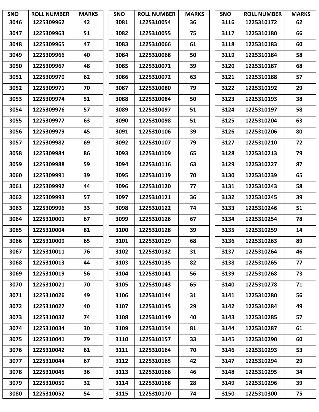| <b>SNO</b> | <b>ROLL NUMBER</b> | <b>MARKS</b> | <b>SNO</b> | <b>ROLL NUMBER</b> | <b>MARKS</b> | <b>SNO</b> | <b>ROLL NUMBER</b> | <b>MARKS</b> |
|------------|--------------------|--------------|------------|--------------------|--------------|------------|--------------------|--------------|
| 3046       | 1225309962         | 42           | 3081       | 1225310054         | 36           | 3116       | 1225310172         | 62           |
| 3047       | 1225309963         | 51           | 3082       | 1225310055         | 75           | 3117       | 1225310180         | 66           |
| 3048       | 1225309965         | 47           | 3083       | 1225310066         | 61           | 3118       | 1225310183         | 60           |
| 3049       | 1225309966         | 40           | 3084       | 1225310068         | 50           | 3119       | 1225310184         | 58           |
| 3050       | 1225309967         | 48           | 3085       | 1225310071         | 39           | 3120       | 1225310187         | 68           |
| 3051       | 1225309970         | 62           | 3086       | 1225310072         | 63           | 3121       | 1225310188         | 57           |
| 3052       | 1225309971         | 70           | 3087       | 1225310080         | 79           | 3122       | 1225310192         | 29           |
| 3053       | 1225309974         | 51           | 3088       | 1225310084         | 50           | 3123       | 1225310193         | 38           |
| 3054       | 1225309976         | 57           | 3089       | 1225310097         | 51           | 3124       | 1225310197         | 58           |
| 3055       | 1225309977         | 63           | 3090       | 1225310098         | 51           | 3125       | 1225310204         | 63           |
| 3056       | 1225309979         | 45           | 3091       | 1225310106         | 39           | 3126       | 1225310206         | 80           |
| 3057       | 1225309982         | 69           | 3092       | 1225310107         | 79           | 3127       | 1225310210         | 72           |
| 3058       | 1225309984         | 86           | 3093       | 1225310109         | 65           | 3128       | 1225310213         | 79           |
| 3059       | 1225309988         | 59           | 3094       | 1225310116         | 63           | 3129       | 1225310227         | 87           |
| 3060       | 1225309991         | 39           | 3095       | 1225310119         | 70           | 3130       | 1225310239         | 65           |
| 3061       | 1225309992         | 44           | 3096       | 1225310120         | 77           | 3131       | 1225310243         | 58           |
| 3062       | 1225309993         | 57           | 3097       | 1225310121         | 36           | 3132       | 1225310245         | 39           |
| 3063       | 1225309996         | 33           | 3098       | 1225310122         | 74           | 3133       | 1225310246         | 51           |
| 3064       | 1225310001         | 67           | 3099       | 1225310126         | 67           | 3134       | 1225310254         | 78           |
| 3065       | 1225310004         | 81           | 3100       | 1225310128         | 39           | 3135       | 1225310259         | 14           |
| 3066       | 1225310009         | 65           | 3101       | 1225310129         | 68           | 3136       | 1225310263         | 89           |
| 3067       | 1225310011         | 76           | 3102       | 1225310132         | 31           | 3137       | 1225310264         | 46           |
| 3068       | 1225310013         | 44           | 3103       | 1225310135         | 82           | 3138       | 1225310265         | 77           |
| 3069       | 1225310019         | 56           | 3104       | 1225310141         | 56           | 3139       | 1225310268         | 73           |
| 3070       | 1225310021         | 70           | 3105       | 1225310143         | 65           | 3140       | 1225310278         | 71           |
| 3071       | 1225310026         | 49           | 3106       | 1225310144         | 31           | 3141       | 1225310280         | 56           |
| 3072       | 1225310027         | 40           | 3107       | 1225310145         | 29           | 3142       | 1225310284         | 49           |
| 3073       | 1225310032         | 74           | 3108       | 1225310149         | 40           | 3143       | 1225310285         | 57           |
| 3074       | 1225310034         | 30           | 3109       | 1225310154         | 81           | 3144       | 1225310287         | 61           |
| 3075       | 1225310041         | 79           | 3110       | 1225310157         | 33           | 3145       | 1225310290         | 60           |
| 3076       | 1225310042         | 61           | 3111       | 1225310164         | 70           | 3146       | 1225310293         | 53           |
| 3077       | 1225310044         | 67           | 3112       | 1225310165         | 42           | 3147       | 1225310294         | 29           |
| 3078       | 1225310045         | 36           | 3113       | 1225310166         | 46           | 3148       | 1225310295         | 34           |
| 3079       | 1225310050         | 32           | 3114       | 1225310168         | 28           | 3149       | 1225310296         | 39           |
| 3080       | 1225310052         | 54           | 3115       | 1225310170         | 74           | 3150       | 1225310300         | 75           |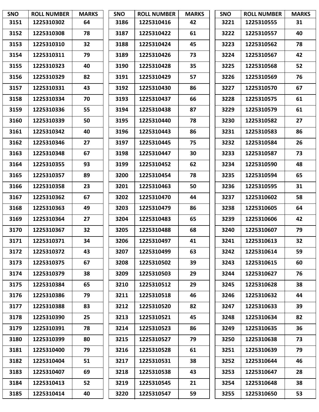| <b>SNO</b> | <b>ROLL NUMBER</b> | <b>MARKS</b> | <b>SNO</b> | <b>ROLL NUMBER</b> | <b>MARKS</b> | <b>SNO</b> | <b>ROLL NUMBER</b> | <b>MARKS</b> |
|------------|--------------------|--------------|------------|--------------------|--------------|------------|--------------------|--------------|
| 3151       | 1225310302         | 64           | 3186       | 1225310416         | 42           | 3221       | 1225310555         | 31           |
| 3152       | 1225310308         | 78           | 3187       | 1225310422         | 61           | 3222       | 1225310557         | 40           |
| 3153       | 1225310310         | 32           | 3188       | 1225310424         | 45           | 3223       | 1225310562         | 78           |
| 3154       | 1225310311         | 79           | 3189       | 1225310426         | 73           | 3224       | 1225310567         | 42           |
| 3155       | 1225310323         | 40           | 3190       | 1225310428         | 35           | 3225       | 1225310568         | 52           |
| 3156       | 1225310329         | 82           | 3191       | 1225310429         | 57           | 3226       | 1225310569         | 76           |
| 3157       | 1225310331         | 43           | 3192       | 1225310430         | 86           | 3227       | 1225310570         | 67           |
| 3158       | 1225310334         | 70           | 3193       | 1225310437         | 66           | 3228       | 1225310575         | 61           |
| 3159       | 1225310336         | 55           | 3194       | 1225310438         | 87           | 3229       | 1225310579         | 61           |
| 3160       | 1225310339         | 50           | 3195       | 1225310440         | 78           | 3230       | 1225310582         | 27           |
| 3161       | 1225310342         | 40           | 3196       | 1225310443         | 86           | 3231       | 1225310583         | 86           |
| 3162       | 1225310346         | 27           | 3197       | 1225310445         | 75           | 3232       | 1225310584         | 26           |
| 3163       | 1225310348         | 67           | 3198       | 1225310447         | 30           | 3233       | 1225310587         | 73           |
| 3164       | 1225310355         | 93           | 3199       | 1225310452         | 62           | 3234       | 1225310590         | 48           |
| 3165       | 1225310357         | 89           | 3200       | 1225310454         | 78           | 3235       | 1225310594         | 65           |
| 3166       | 1225310358         | 23           | 3201       | 1225310463         | 50           | 3236       | 1225310595         | 31           |
| 3167       | 1225310362         | 67           | 3202       | 1225310470         | 44           | 3237       | 1225310602         | 58           |
| 3168       | 1225310363         | 49           | 3203       | 1225310479         | 86           | 3238       | 1225310605         | 64           |
| 3169       | 1225310364         | 27           | 3204       | 1225310483         | 65           | 3239       | 1225310606         | 42           |
| 3170       | 1225310367         | 32           | 3205       | 1225310488         | 68           | 3240       | 1225310607         | 79           |
| 3171       | 1225310371         | 34           | 3206       | 1225310497         | 41           | 3241       | 1225310613         | 32           |
| 3172       | 1225310372         | 43           | 3207       | 1225310499         | 63           | 3242       | 1225310614         | 59           |
| 3173       | 1225310375         | 67           | 3208       | 1225310502         | 39           | 3243       | 1225310615         | 60           |
| 3174       | 1225310379         | 38           | 3209       | 1225310503         | 29           | 3244       | 1225310627         | 76           |
| 3175       | 1225310384         | 65           | 3210       | 1225310512         | 29           | 3245       | 1225310628         | 38           |
| 3176       | 1225310386         | 79           | 3211       | 1225310518         | 46           | 3246       | 1225310632         | 44           |
| 3177       | 1225310388         | 83           | 3212       | 1225310520         | 82           | 3247       | 1225310633         | 39           |
| 3178       | 1225310390         | 25           | 3213       | 1225310521         | 45           | 3248       | 1225310634         | 82           |
| 3179       | 1225310391         | 78           | 3214       | 1225310523         | 86           | 3249       | 1225310635         | 36           |
| 3180       | 1225310399         | 80           | 3215       | 1225310527         | 79           | 3250       | 1225310638         | 73           |
| 3181       | 1225310400         | 79           | 3216       | 1225310528         | 61           | 3251       | 1225310639         | 79           |
| 3182       | 1225310404         | 51           | 3217       | 1225310531         | 38           | 3252       | 1225310644         | 46           |
| 3183       | 1225310407         | 69           | 3218       | 1225310538         | 43           | 3253       | 1225310647         | 28           |
| 3184       | 1225310413         | 52           | 3219       | 1225310545         | 21           | 3254       | 1225310648         | 38           |
| 3185       | 1225310414         | 40           | 3220       | 1225310547         | 59           | 3255       | 1225310650         | 53           |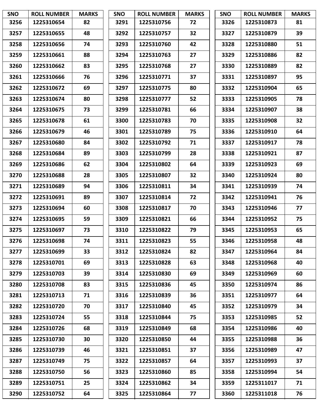| <b>SNO</b> | <b>ROLL NUMBER</b> | <b>MARKS</b> | <b>SNO</b> | <b>ROLL NUMBER</b> | <b>MARKS</b> | <b>SNO</b> | <b>ROLL NUMBER</b> | <b>MARKS</b> |
|------------|--------------------|--------------|------------|--------------------|--------------|------------|--------------------|--------------|
| 3256       | 1225310654         | 82           | 3291       | 1225310756         | 72           | 3326       | 1225310873         | 81           |
| 3257       | 1225310655         | 48           | 3292       | 1225310757         | 32           | 3327       | 1225310879         | 39           |
| 3258       | 1225310656         | 74           | 3293       | 1225310760         | 42           | 3328       | 1225310880         | 51           |
| 3259       | 1225310661         | 88           | 3294       | 1225310763         | 27           | 3329       | 1225310886         | 82           |
| 3260       | 1225310662         | 83           | 3295       | 1225310768         | 27           | 3330       | 1225310889         | 82           |
| 3261       | 1225310666         | 76           | 3296       | 1225310771         | 37           | 3331       | 1225310897         | 95           |
| 3262       | 1225310672         | 69           | 3297       | 1225310775         | 80           | 3332       | 1225310904         | 65           |
| 3263       | 1225310674         | 80           | 3298       | 1225310777         | 52           | 3333       | 1225310905         | 78           |
| 3264       | 1225310675         | 73           | 3299       | 1225310781         | 66           | 3334       | 1225310907         | 38           |
| 3265       | 1225310678         | 61           | 3300       | 1225310783         | 70           | 3335       | 1225310908         | 32           |
| 3266       | 1225310679         | 46           | 3301       | 1225310789         | 75           | 3336       | 1225310910         | 64           |
| 3267       | 1225310680         | 84           | 3302       | 1225310792         | 71           | 3337       | 1225310917         | 78           |
| 3268       | 1225310684         | 89           | 3303       | 1225310799         | 28           | 3338       | 1225310921         | 87           |
| 3269       | 1225310686         | 62           | 3304       | 1225310802         | 64           | 3339       | 1225310923         | 69           |
| 3270       | 1225310688         | 28           | 3305       | 1225310807         | 32           | 3340       | 1225310924         | 80           |
| 3271       | 1225310689         | 94           | 3306       | 1225310811         | 34           | 3341       | 1225310939         | 74           |
| 3272       | 1225310691         | 89           | 3307       | 1225310814         | 72           | 3342       | 1225310941         | 76           |
| 3273       | 1225310694         | 60           | 3308       | 1225310817         | 70           | 3343       | 1225310946         | 77           |
| 3274       | 1225310695         | 59           | 3309       | 1225310821         | 66           | 3344       | 1225310952         | 75           |
| 3275       | 1225310697         | 73           | 3310       | 1225310822         | 79           | 3345       | 1225310953         | 65           |
| 3276       | 1225310698         | 74           | 3311       | 1225310823         | 55           | 3346       | 1225310958         | 48           |
| 3277       | 1225310699         | 33           | 3312       | 1225310824         | 82           | 3347       | 1225310964         | 84           |
| 3278       | 1225310701         | 69           | 3313       | 1225310828         | 63           | 3348       | 1225310968         | 40           |
| 3279       | 1225310703         | 39           | 3314       | 1225310830         | 69           | 3349       | 1225310969         | 60           |
| 3280       | 1225310708         | 83           | 3315       | 1225310836         | 45           | 3350       | 1225310974         | 86           |
| 3281       | 1225310713         | 71           | 3316       | 1225310839         | 36           | 3351       | 1225310977         | 64           |
| 3282       | 1225310720         | 70           | 3317       | 1225310840         | 45           | 3352       | 1225310979         | 34           |
| 3283       | 1225310724         | 55           | 3318       | 1225310844         | 75           | 3353       | 1225310985         | 52           |
| 3284       | 1225310726         | 68           | 3319       | 1225310849         | 68           | 3354       | 1225310986         | 40           |
| 3285       | 1225310730         | 30           | 3320       | 1225310850         | 44           | 3355       | 1225310988         | 36           |
| 3286       | 1225310739         | 46           | 3321       | 1225310851         | 37           | 3356       | 1225310989         | 47           |
| 3287       | 1225310749         | 75           | 3322       | 1225310857         | 64           | 3357       | 1225310993         | 37           |
| 3288       | 1225310750         | 56           | 3323       | 1225310860         | 85           | 3358       | 1225310994         | 54           |
| 3289       | 1225310751         | 25           | 3324       | 1225310862         | 34           | 3359       | 1225311017         | 71           |
| 3290       | 1225310752         | 64           | 3325       | 1225310864         | 77           | 3360       | 1225311018         | 76           |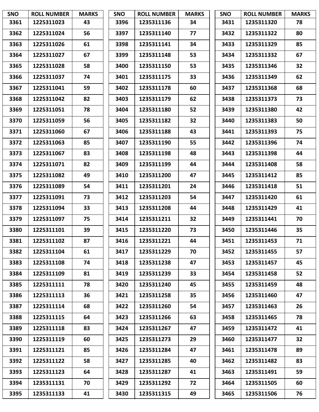| <b>SNO</b> | <b>ROLL NUMBER</b> | <b>MARKS</b> | <b>SNO</b> | <b>ROLL NUMBER</b> | <b>MARKS</b> | <b>SNO</b> | <b>ROLL NUMBER</b> | <b>MARKS</b> |
|------------|--------------------|--------------|------------|--------------------|--------------|------------|--------------------|--------------|
| 3361       | 1225311023         | 43           | 3396       | 1235311136         | 34           | 3431       | 1235311320         | 78           |
| 3362       | 1225311024         | 56           | 3397       | 1235311140         | 77           | 3432       | 1235311322         | 80           |
| 3363       | 1225311026         | 61           | 3398       | 1235311141         | 34           | 3433       | 1235311329         | 85           |
| 3364       | 1225311027         | 67           | 3399       | 1235311148         | 53           | 3434       | 1235311332         | 67           |
| 3365       | 1225311028         | 58           | 3400       | 1235311150         | 53           | 3435       | 1235311346         | 32           |
| 3366       | 1225311037         | 74           | 3401       | 1235311175         | 33           | 3436       | 1235311349         | 62           |
| 3367       | 1225311041         | 59           | 3402       | 1235311178         | 60           | 3437       | 1235311368         | 68           |
| 3368       | 1225311042         | 82           | 3403       | 1235311179         | 62           | 3438       | 1235311373         | 73           |
| 3369       | 1225311051         | 78           | 3404       | 1235311180         | 52           | 3439       | 1235311380         | 42           |
| 3370       | 1225311059         | 56           | 3405       | 1235311182         | 32           | 3440       | 1235311383         | 50           |
| 3371       | 1225311060         | 67           | 3406       | 1235311188         | 43           | 3441       | 1235311393         | 75           |
| 3372       | 1225311063         | 85           | 3407       | 1235311190         | 55           | 3442       | 1235311396         | 74           |
| 3373       | 1225311067         | 83           | 3408       | 1235311198         | 48           | 3443       | 1235311398         | 44           |
| 3374       | 1225311071         | 82           | 3409       | 1235311199         | 44           | 3444       | 1235311408         | 58           |
| 3375       | 1225311082         | 49           | 3410       | 1235311200         | 47           | 3445       | 1235311412         | 85           |
| 3376       | 1225311089         | 54           | 3411       | 1235311201         | 24           | 3446       | 1235311418         | 51           |
| 3377       | 1225311091         | 73           | 3412       | 1235311203         | 54           | 3447       | 1235311420         | 61           |
| 3378       | 1225311094         | 33           | 3413       | 1235311208         | 44           | 3448       | 1235311429         | 41           |
| 3379       | 1225311097         | 75           | 3414       | 1235311211         | 32           | 3449       | 1235311441         | 70           |
| 3380       | 1225311101         | 39           | 3415       | 1235311220         | 73           | 3450       | 1235311446         | 35           |
| 3381       | 1225311102         | 87           | 3416       | 1235311221         | 44           | 3451       | 1235311453         | 71           |
| 3382       | 1225311104         | 61           | 3417       | 1235311229         | 70           | 3452       | 1235311455         | 57           |
| 3383       | 1225311108         | 74           | 3418       | 1235311238         | 47           | 3453       | 1235311457         | 45           |
| 3384       | 1225311109         | 81           | 3419       | 1235311239         | 33           | 3454       | 1235311458         | 52           |
| 3385       | 1225311111         | 78           | 3420       | 1235311240         | 45           | 3455       | 1235311459         | 48           |
| 3386       | 1225311113         | 36           | 3421       | 1235311258         | 35           | 3456       | 1235311460         | 47           |
| 3387       | 1225311114         | 68           | 3422       | 1235311260         | 54           | 3457       | 1235311463         | 26           |
| 3388       | 1225311115         | 64           | 3423       | 1235311266         | 63           | 3458       | 1235311465         | 78           |
| 3389       | 1225311118         | 83           | 3424       | 1235311267         | 47           | 3459       | 1235311472         | 41           |
| 3390       | 1225311119         | 60           | 3425       | 1235311273         | 29           | 3460       | 1235311477         | 32           |
| 3391       | 1225311121         | 85           | 3426       | 1235311284         | 47           | 3461       | 1235311478         | 89           |
| 3392       | 1225311122         | 58           | 3427       | 1235311285         | 40           | 3462       | 1235311482         | 83           |
| 3393       | 1225311123         | 64           | 3428       | 1235311287         | 41           | 3463       | 1235311491         | 59           |
| 3394       | 1235311131         | 70           | 3429       | 1235311292         | 72           | 3464       | 1235311505         | 60           |
| 3395       | 1235311133         | 41           | 3430       | 1235311315         | 49           | 3465       | 1235311506         | 76           |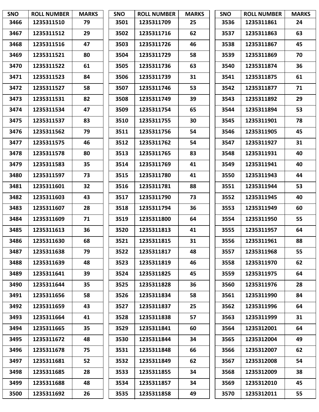| <b>SNO</b> | <b>ROLL NUMBER</b> | <b>MARKS</b> | <b>SNO</b> | <b>ROLL NUMBER</b> | <b>MARKS</b> | <b>SNO</b> | <b>ROLL NUMBER</b> | <b>MARKS</b> |
|------------|--------------------|--------------|------------|--------------------|--------------|------------|--------------------|--------------|
| 3466       | 1235311510         | 79           | 3501       | 1235311709         | 25           | 3536       | 1235311861         | 24           |
| 3467       | 1235311512         | 29           | 3502       | 1235311716         | 62           | 3537       | 1235311863         | 63           |
| 3468       | 1235311516         | 47           | 3503       | 1235311726         | 46           | 3538       | 1235311867         | 45           |
| 3469       | 1235311521         | 80           | 3504       | 1235311729         | 58           | 3539       | 1235311869         | 70           |
| 3470       | 1235311522         | 61           | 3505       | 1235311736         | 63           | 3540       | 1235311874         | 36           |
| 3471       | 1235311523         | 84           | 3506       | 1235311739         | 31           | 3541       | 1235311875         | 61           |
| 3472       | 1235311527         | 58           | 3507       | 1235311746         | 53           | 3542       | 1235311877         | 71           |
| 3473       | 1235311531         | 82           | 3508       | 1235311749         | 39           | 3543       | 1235311892         | 29           |
| 3474       | 1235311534         | 47           | 3509       | 1235311754         | 65           | 3544       | 1235311894         | 53           |
| 3475       | 1235311537         | 83           | 3510       | 1235311755         | 30           | 3545       | 1235311901         | 78           |
| 3476       | 1235311562         | 79           | 3511       | 1235311756         | 54           | 3546       | 1235311905         | 45           |
| 3477       | 1235311575         | 46           | 3512       | 1235311762         | 54           | 3547       | 1235311927         | 31           |
| 3478       | 1235311578         | 80           | 3513       | 1235311765         | 83           | 3548       | 1235311931         | 40           |
| 3479       | 1235311583         | 35           | 3514       | 1235311769         | 41           | 3549       | 1235311941         | 40           |
| 3480       | 1235311597         | 73           | 3515       | 1235311780         | 41           | 3550       | 1235311943         | 44           |
| 3481       | 1235311601         | 32           | 3516       | 1235311781         | 88           | 3551       | 1235311944         | 53           |
| 3482       | 1235311603         | 43           | 3517       | 1235311790         | 73           | 3552       | 1235311945         | 40           |
| 3483       | 1235311607         | 28           | 3518       | 1235311794         | 36           | 3553       | 1235311949         | 60           |
| 3484       | 1235311609         | 71           | 3519       | 1235311800         | 64           | 3554       | 1235311950         | 55           |
| 3485       | 1235311613         | 36           | 3520       | 1235311813         | 41           | 3555       | 1235311957         | 64           |
| 3486       | 1235311630         | 68           | 3521       | 1235311815         | 31           | 3556       | 1235311961         | 88           |
| 3487       | 1235311638         | 79           | 3522       | 1235311817         | 48           | 3557       | 1235311968         | 55           |
| 3488       | 1235311639         | 48           | 3523       | 1235311819         | 46           | 3558       | 1235311970         | 62           |
| 3489       | 1235311641         | 39           | 3524       | 1235311825         | 45           | 3559       | 1235311975         | 64           |
| 3490       | 1235311644         | 35           | 3525       | 1235311828         | 36           | 3560       | 1235311976         | 28           |
| 3491       | 1235311656         | 58           | 3526       | 1235311834         | 58           | 3561       | 1235311990         | 84           |
| 3492       | 1235311659         | 43           | 3527       | 1235311837         | 25           | 3562       | 1235311996         | 64           |
| 3493       | 1235311664         | 41           | 3528       | 1235311838         | 57           | 3563       | 1235311999         | 31           |
| 3494       | 1235311665         | 35           | 3529       | 1235311841         | 60           | 3564       | 1235312001         | 64           |
| 3495       | 1235311672         | 48           | 3530       | 1235311844         | 34           | 3565       | 1235312004         | 49           |
| 3496       | 1235311678         | 75           | 3531       | 1235311848         | 66           | 3566       | 1235312007         | 62           |
| 3497       | 1235311681         | 52           | 3532       | 1235311849         | 62           | 3567       | 1235312008         | 54           |
| 3498       | 1235311685         | 28           | 3533       | 1235311855         | 34           | 3568       | 1235312009         | 38           |
| 3499       | 1235311688         | 48           | 3534       | 1235311857         | 34           | 3569       | 1235312010         | 45           |
| 3500       | 1235311692         | 26           | 3535       | 1235311858         | 49           | 3570       | 1235312011         | 55           |